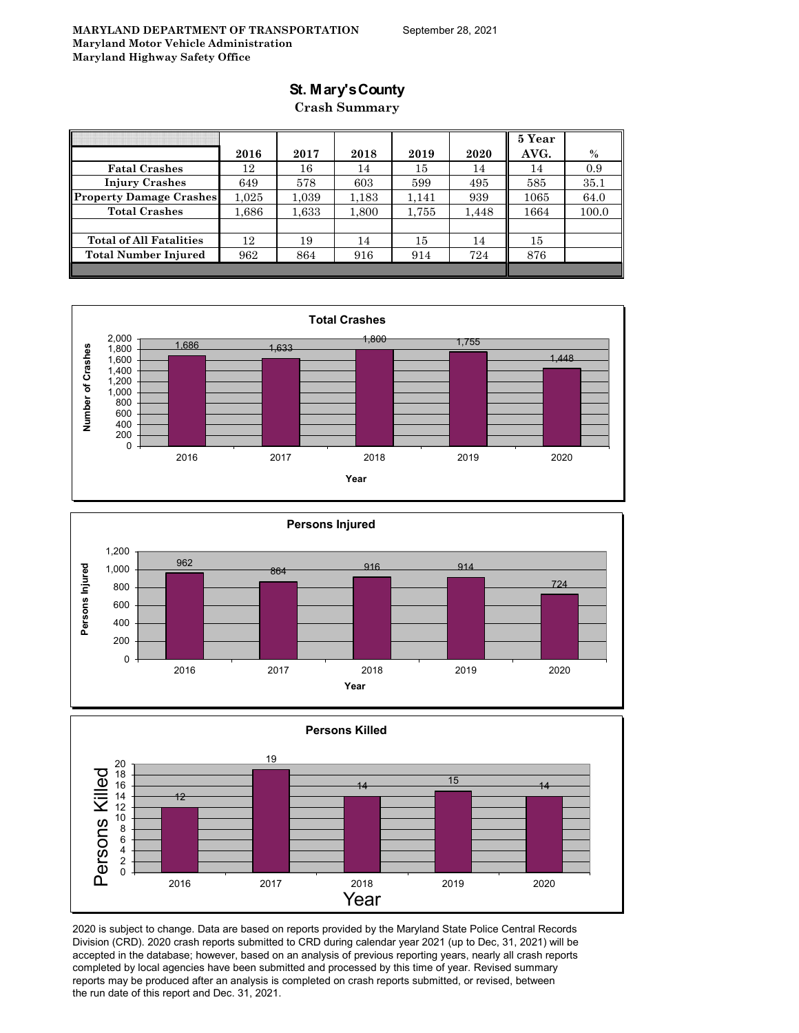### **St. Mary's County**

#### **Crash Summary**

|                                |           |       |       |       |       | 5 Year |       |
|--------------------------------|-----------|-------|-------|-------|-------|--------|-------|
|                                | 2016      | 2017  | 2018  | 2019  | 2020  | AVG.   | $\%$  |
| <b>Fatal Crashes</b>           | 12        | 16    | 14    | 15    | 14    | 14     | 0.9   |
| <b>Injury Crashes</b>          | 649       | 578   | 603   | 599   | 495   | 585    | 35.1  |
| <b>Property Damage Crashes</b> | $1.025\,$ | 1.039 | 1,183 | 1,141 | 939   | 1065   | 64.0  |
| <b>Total Crashes</b>           | 1.686     | 1,633 | 1,800 | 1,755 | 1,448 | 1664   | 100.0 |
|                                |           |       |       |       |       |        |       |
| <b>Total of All Fatalities</b> | 12        | 19    | 14    | 15    | 14    | 15     |       |
| <b>Total Number Injured</b>    | 962       | 864   | 916   | 914   | 724   | 876    |       |
|                                |           |       |       |       |       |        |       |







2020 is subject to change. Data are based on reports provided by the Maryland State Police Central Records Division (CRD). 2020 crash reports submitted to CRD during calendar year 2021 (up to Dec, 31, 2021) will be accepted in the database; however, based on an analysis of previous reporting years, nearly all crash reports completed by local agencies have been submitted and processed by this time of year. Revised summary reports may be produced after an analysis is completed on crash reports submitted, or revised, between the run date of this report and Dec. 31, 2021.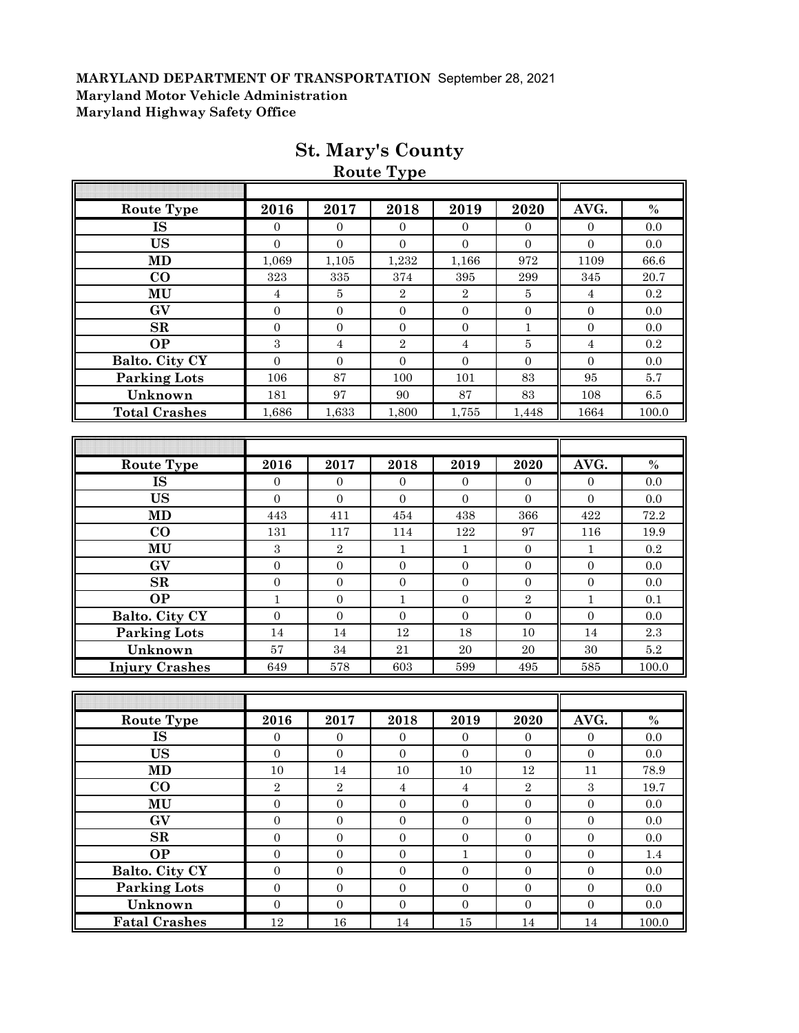| Route Type             | 2016             | 2017             | 2018             | 2019                    | 2020             | AVG.             | $\%$          |
|------------------------|------------------|------------------|------------------|-------------------------|------------------|------------------|---------------|
| <b>IS</b>              | $\mathbf{0}$     | $\mathbf{0}$     | $\mathbf{0}$     | $\overline{0}$          | $\overline{0}$   | $\boldsymbol{0}$ | 0.0           |
| <b>US</b>              | $\overline{0}$   | $\overline{0}$   | $\mathbf{0}$     | $\overline{0}$          | $\Omega$         | $\overline{0}$   | 0.0           |
| <b>MD</b>              | 1,069            | 1,105            | 1,232            | 1,166                   | 972              | 1109             | 66.6          |
| $\bf CO$               | 323              | 335              | 374              | 395                     | 299              | 345              | 20.7          |
| MU                     | $\overline{4}$   | 5                | $\overline{2}$   | $\overline{2}$          | 5                | $\sqrt{4}$       | 0.2           |
| GV                     | $\overline{0}$   | $\boldsymbol{0}$ | $\boldsymbol{0}$ | $\mathbf{0}$            | $\boldsymbol{0}$ | $\mathbf{0}$     | 0.0           |
| SR                     | $\boldsymbol{0}$ | $\boldsymbol{0}$ | $\boldsymbol{0}$ | $\overline{0}$          | $\mathbf{1}$     | $\boldsymbol{0}$ | 0.0           |
| <b>OP</b>              | 3                | $\overline{4}$   | $\sqrt{2}$       | $\overline{4}$          | $\bf 5$          | $\overline{4}$   | 0.2           |
| Balto. City CY         | $\overline{0}$   | $\boldsymbol{0}$ | $\overline{0}$   | $\overline{0}$          | $\overline{0}$   | $\overline{0}$   | 0.0           |
| <b>Parking Lots</b>    | 106              | 87               | 100              | 101                     | 83               | 95               | 5.7           |
| Unknown                | 181              | 97               | 90               | 87                      | 83               | 108              | 6.5           |
| <b>Total Crashes</b>   | 1,686            | 1,633            | 1,800            | 1,755                   | 1,448            | 1664             | 100.0         |
|                        |                  |                  |                  |                         |                  |                  |               |
|                        |                  |                  |                  |                         |                  |                  |               |
| <b>Route Type</b>      | 2016             | 2017             | 2018             | 2019                    | 2020             | AVG.             | $\frac{0}{0}$ |
| <b>IS</b>              | $\overline{0}$   | $\overline{0}$   | $\mathbf{0}$     | $\mathbf{0}$            | $\overline{0}$   | $\mathbf{0}$     | 0.0           |
| <b>US</b>              | $\overline{0}$   | $\mathbf{0}$     | $\boldsymbol{0}$ | $\mathbf{0}$            | $\overline{0}$   | $\boldsymbol{0}$ | 0.0           |
| MD                     | 443              | 411              | 454              | 438                     | 366              | 422              | 72.2          |
| CO                     | 131              | 117              | 114              | 122                     | 97               | 116              | 19.9          |
| MU                     | $\,3$            | $\,2$            | $\mathbf{1}$     | $\mathbf{1}$            | $\mathbf{0}$     | $\mathbf{1}$     | 0.2           |
| GV                     | $\mathbf{0}$     | $\mathbf{0}$     | $\boldsymbol{0}$ | $\mathbf{0}$            | $\overline{0}$   | $\boldsymbol{0}$ | 0.0           |
| $\mathbf{SR}$          | $\boldsymbol{0}$ | $\mathbf{0}$     | $\boldsymbol{0}$ | $\overline{0}$          | $\boldsymbol{0}$ | $\boldsymbol{0}$ | 0.0           |
| <b>OP</b>              | $\mathbf{1}$     | $\boldsymbol{0}$ | $\mathbf{1}$     | $\boldsymbol{0}$        | $\sqrt{2}$       | $\mathbf{1}$     | 0.1           |
| Balto. City CY         | $\mathbf{0}$     | $\boldsymbol{0}$ | $\boldsymbol{0}$ | $\mathbf{0}$            | $\boldsymbol{0}$ | $\boldsymbol{0}$ | 0.0           |
| <b>Parking Lots</b>    | 14               | 14               | 12               | 18                      | 10               | 14               | 2.3           |
| Unknown                | $57\,$           | 34               | 21               | $20\,$                  | $20\,$           | 30               | $5.2\,$       |
| <b>Injury Crashes</b>  | 649              | 578              | 603              | 599                     | 495              | 585              | 100.0         |
|                        |                  |                  |                  |                         |                  |                  |               |
|                        |                  |                  |                  |                         |                  |                  |               |
| <b>Route Type</b>      | 2016             | 2017             | 2018             | 2019                    | 2020             | AVG.             | $\%$          |
| IS                     | $\mathbf{0}$     | $\mathbf{0}$     | $\boldsymbol{0}$ | $\mathbf{0}$            | $\mathbf{0}$     | $\boldsymbol{0}$ | 0.0           |
| <b>US</b>              | $\boldsymbol{0}$ | $\boldsymbol{0}$ | $\boldsymbol{0}$ | $\mathbf{0}$            | $\boldsymbol{0}$ | $\boldsymbol{0}$ | 0.0           |
| <b>MD</b>              | $10\,$           | $14\,$           | 10               | $10\,$                  | $12\,$           | 11               | 78.9          |
| $\bf CO$               | $\overline{2}$   | $\overline{2}$   | $\overline{4}$   | $\overline{\mathbf{4}}$ | $\overline{2}$   | $\sqrt{3}$       | 19.7          |
| MU                     | $\boldsymbol{0}$ | $\boldsymbol{0}$ | $\boldsymbol{0}$ | $\boldsymbol{0}$        | $\boldsymbol{0}$ | $\boldsymbol{0}$ | $0.0\,$       |
| $\mathbf{G}\mathbf{V}$ | $\boldsymbol{0}$ | $\boldsymbol{0}$ | $\boldsymbol{0}$ | $\boldsymbol{0}$        | $\boldsymbol{0}$ | $\boldsymbol{0}$ | $0.0\,$       |
| $\mathbf{SR}$          | $\boldsymbol{0}$ | $\boldsymbol{0}$ | $\boldsymbol{0}$ | $\boldsymbol{0}$        | $\boldsymbol{0}$ | $\boldsymbol{0}$ | $0.0\,$       |
| <b>OP</b>              | $\boldsymbol{0}$ | $\boldsymbol{0}$ | $\boldsymbol{0}$ | $\,1\,$                 | $\boldsymbol{0}$ | $\mathbf{0}$     | $1.4\,$       |
| Balto. City CY         | $\boldsymbol{0}$ | $\mathbf{0}$     | $\boldsymbol{0}$ | $\boldsymbol{0}$        | $\boldsymbol{0}$ | $\boldsymbol{0}$ | 0.0           |
| Parking Lots           | $\boldsymbol{0}$ | $\mathbf{0}$     | $\boldsymbol{0}$ | $\boldsymbol{0}$        | $\boldsymbol{0}$ | $\boldsymbol{0}$ | $0.0\,$       |
| Unknown                | $\boldsymbol{0}$ | $\boldsymbol{0}$ | $\boldsymbol{0}$ | $\boldsymbol{0}$        | $\boldsymbol{0}$ | $\boldsymbol{0}$ | $0.0\,$       |
| <b>Fatal Crashes</b>   | $12\,$           | $16\,$           | $14\,$           | $15\,$                  | $14\,$           | $14\,$           | 100.0         |

# **St. Mary's County**

**Route Type**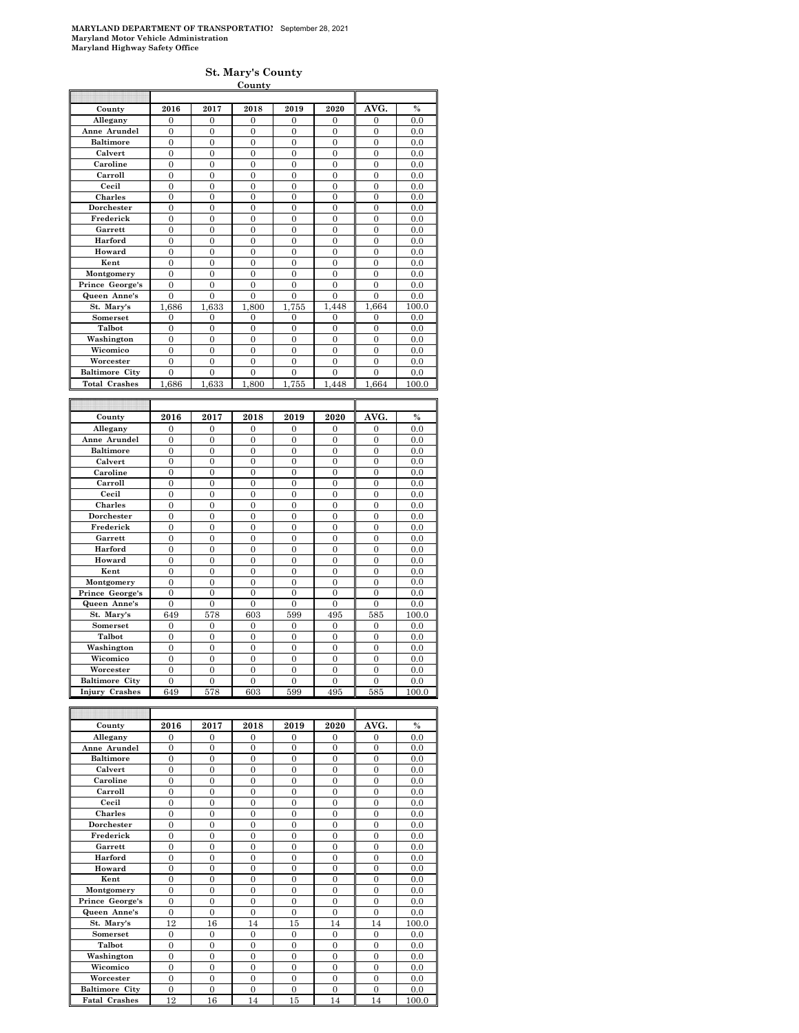#### **St. Mary's County**

|                       |                  |                  | County           |                |                |                  |               |
|-----------------------|------------------|------------------|------------------|----------------|----------------|------------------|---------------|
|                       |                  |                  |                  |                |                |                  |               |
| County                | 2016             | 2017             | 2018             | 2019           | 2020           | AVG.             | $\%$          |
| Allegany              | $\overline{0}$   | $\overline{0}$   | 0                | 0              | 0              | 0                | 0.0           |
| Anne Arundel          | $\overline{0}$   | $\overline{0}$   | $\overline{0}$   | $\overline{0}$ | $\overline{0}$ | $\overline{0}$   | 0.0           |
| <b>Baltimore</b>      | $\overline{0}$   | $\overline{0}$   | $\overline{0}$   | $\overline{0}$ | $\overline{0}$ | $\overline{0}$   | 0.0           |
| Calvert               | $\theta$         | $\overline{0}$   | $\overline{0}$   | $\theta$       | $\overline{0}$ | $\overline{0}$   | 0.0           |
| Caroline              | $\overline{0}$   | $\mathbf{0}$     | $\boldsymbol{0}$ | $\mathbf{0}$   | $\mathbf{0}$   | $\mathbf{0}$     | 0.0           |
| Carroll               | $\mathbf{0}$     | $\mathbf{0}$     | $\bf{0}$         | 0              | 0              | $\mathbf{0}$     | 0.0           |
| Cecil                 | $\overline{0}$   | $\overline{0}$   | $\overline{0}$   | $\overline{0}$ | $\overline{0}$ | $\overline{0}$   | 0.0           |
| Charles               | $\overline{0}$   | $\overline{0}$   | $\boldsymbol{0}$ | $\overline{0}$ | $\overline{0}$ | $\overline{0}$   | 0.0           |
| Dorchester            | $\overline{0}$   | $\overline{0}$   | $\overline{0}$   | $\overline{0}$ | $\overline{0}$ | $\overline{0}$   | 0.0           |
| Frederick             | $\mathbf{0}$     | $\mathbf{0}$     | $\boldsymbol{0}$ | $\mathbf{0}$   | $\mathbf{0}$   | $\boldsymbol{0}$ | 0.0           |
| Garrett               | $\overline{0}$   | $\overline{0}$   | $\overline{0}$   | $\overline{0}$ | 0              | $\overline{0}$   | 0.0           |
| Harford               | $\overline{0}$   | $\overline{0}$   | $\overline{0}$   | $\overline{0}$ | $\overline{0}$ | $\overline{0}$   | 0.0           |
| Howard                | $\overline{0}$   | $\mathbf{0}$     | $\mathbf{0}$     | $\overline{0}$ | $\overline{0}$ | $\boldsymbol{0}$ | 0.0           |
| Kent                  | $\overline{0}$   | $\overline{0}$   | $\overline{0}$   | $\overline{0}$ | $\overline{0}$ | $\overline{0}$   | 0.0           |
| Montgomery            | $\boldsymbol{0}$ | $\boldsymbol{0}$ | $\boldsymbol{0}$ | $\mathbf{0}$   | $\mathbf{0}$   | $\boldsymbol{0}$ | 0.0           |
| Prince George's       | $\overline{0}$   | $\overline{0}$   | $\overline{0}$   | $\overline{0}$ | $\overline{0}$ | $\overline{0}$   | 0.0           |
| Queen Anne's          | $\overline{0}$   | $\overline{0}$   | $\overline{0}$   | $\overline{0}$ | $\overline{0}$ | $\overline{0}$   | 0.0           |
| St. Mary's            | 1,686            | 1,633            | 1,800            | 755<br>1,      | 1,448          | 1,664            | 100.0         |
| Somerset              | $\boldsymbol{0}$ | $\mathbf{0}$     | $\boldsymbol{0}$ | 0              | 0              | $\boldsymbol{0}$ | 0.0           |
| Talbot                | $\mathbf{0}$     | $\mathbf{0}$     | $\boldsymbol{0}$ | $\mathbf{0}$   | $\mathbf{0}$   | $\boldsymbol{0}$ | 0.0           |
| Washington            | $\overline{0}$   | $\overline{0}$   | $\overline{0}$   | $\overline{0}$ | $\overline{0}$ | $\overline{0}$   | 0.0           |
| Wicomico              | $\overline{0}$   | $\overline{0}$   | $\overline{0}$   | $\overline{0}$ | 0              | $\overline{0}$   | 0.0           |
| Worcester             | $\overline{0}$   | $\overline{0}$   | $\overline{0}$   | $\overline{0}$ | $\overline{0}$ | $\overline{0}$   | 0.0           |
| <b>Baltimore City</b> | $\overline{0}$   | $\boldsymbol{0}$ | $\boldsymbol{0}$ | $\overline{0}$ | $\overline{0}$ | $\overline{0}$   | 0.0           |
| <b>Total Crashes</b>  | 686<br>1         | 633<br>1         | 800<br>1.        | 755<br>1       | 448<br>1       | 1,664            | 100.0         |
|                       |                  |                  |                  |                |                |                  |               |
|                       |                  |                  |                  |                |                |                  |               |
|                       |                  |                  |                  |                |                |                  |               |
| County                | 2016             | 2017             | 2018             | 2019           | 2020           | AVG.             | $\frac{0}{2}$ |
| Allegany              | $\overline{0}$   | $\overline{0}$   | $\overline{0}$   | $\overline{0}$ | $\overline{0}$ | $\overline{0}$   | 0.0           |
| Anne Arundel          | $\boldsymbol{0}$ | $\boldsymbol{0}$ | $\boldsymbol{0}$ | $\mathbf{0}$   | $\mathbf{0}$   | $\boldsymbol{0}$ | 0.0           |
| <b>Baltimore</b>      | $\overline{0}$   | $\overline{0}$   | $\overline{0}$   | $\overline{0}$ | $\overline{0}$ | $\overline{0}$   | 0.0           |
| Calvert               | $\mathbf{0}$     | $\mathbf{0}$     | $\mathbf{0}$     | $\mathbf{0}$   | 0              | $\boldsymbol{0}$ | 0.0           |
| Caroline              | $\theta$         | $\theta$         | $\theta$         | $\theta$       | $\theta$       | $\overline{0}$   | 0.0           |
| Carroll               | $\overline{0}$   | $\overline{0}$   | $\overline{0}$   | $\overline{0}$ | $\overline{0}$ | $\overline{0}$   | 0.0           |
| Cecil                 | $\mathbf{0}$     | $\mathbf{0}$     | $\mathbf{0}$     | $\mathbf{0}$   | $\mathbf{0}$   | $\boldsymbol{0}$ | 0.0           |
| Charles               | $\overline{0}$   | $\overline{0}$   | $\overline{0}$   | $\overline{0}$ | $\overline{0}$ | $\overline{0}$   | 0.0           |
| Dorchester            | $\mathbf{0}$     | $\mathbf{0}$     | $\boldsymbol{0}$ | $\bf{0}$       | 0              | $\boldsymbol{0}$ | 0.0           |
| Frederick             | $\theta$         | $\theta$         | $\theta$         | $\theta$       | $\theta$       | $\overline{0}$   | 0.0           |
| Garrett               | $\overline{0}$   | $\overline{0}$   | $\overline{0}$   | $\overline{0}$ | $\overline{0}$ | $\overline{0}$   | 0.0           |
| Harford               | $\mathbf{0}$     | $\mathbf{0}$     | $\boldsymbol{0}$ | $\overline{0}$ | $\overline{0}$ | $\overline{0}$   | 0.0           |
| Howard                | $\overline{0}$   | $\overline{0}$   | $\mathbf{0}$     | $\overline{0}$ | $\overline{0}$ | $\overline{0}$   | 0.0           |
| Kent                  | $\mathbf{0}$     | 0                | $\mathbf{0}$     | $\bf{0}$       | 0              | 0                | 0.0           |
| Montgomery            | $\overline{0}$   | $\overline{0}$   | $\overline{0}$   | $\theta$       | $\theta$       | $\theta$         | 0.0           |
| Prince George's       | $\overline{0}$   | $\overline{0}$   | $\boldsymbol{0}$ | $\overline{0}$ | $\overline{0}$ | $\overline{0}$   | 0.0           |
| Queen Anne's          | $\overline{0}$   | $\overline{0}$   | $\overline{0}$   | $\overline{0}$ | $\overline{0}$ | $\overline{0}$   | 0.0           |
| St. Mary's            | 649              | 578              | 603              | 599            | 495            | 585              | 100.0         |
| Somerset              | 0                | 0                | 0                | 0              | 0              | 0                | 0.0           |
| Talbot                | $\overline{0}$   | $\overline{0}$   | $\overline{0}$   | $\overline{0}$ | $\overline{0}$ | $\overline{0}$   | 0.0           |
| Washington            | $\boldsymbol{0}$ | $\mathbf{0}$     | $\boldsymbol{0}$ | $\overline{0}$ | $\mathbf{0}$   | $\boldsymbol{0}$ | 0.0           |
| Wicomico              | $\overline{0}$   | $\overline{0}$   | $\overline{0}$   | $\overline{0}$ | $\overline{0}$ | $\overline{0}$   | 0.0           |
| Worcester             | $\overline{0}$   | $\mathbf{0}$     | $\boldsymbol{0}$ | $\mathbf{0}$   | $\overline{0}$ | $\boldsymbol{0}$ | 0.0           |
| <b>Baltimore City</b> | $\theta$         | $\theta$         | $\Omega$         | $\theta$       | $\theta$       | $\theta$         | 0.0           |
| <b>Injury Crashes</b> | 649              | 578              | 603              | 599            | 495            | 585              | 100.0         |

| County                | 2016           | 2017           | 2018     | 2019     | 2020           | AVG.           | $\%$  |
|-----------------------|----------------|----------------|----------|----------|----------------|----------------|-------|
| Allegany              | $\Omega$       | $\Omega$       | $\Omega$ | $\Omega$ | $\Omega$       | $\Omega$       | 0.0   |
| Anne Arundel          | $\overline{0}$ | $\theta$       | $\theta$ | $\theta$ | $\Omega$       | $\theta$       | 0.0   |
| <b>Baltimore</b>      | $\theta$       | $\theta$       | $\theta$ | $\theta$ | $\theta$       | $\Omega$       | 0.0   |
| Calvert               | $\overline{0}$ | $\overline{0}$ | $\theta$ | $\theta$ | $\overline{0}$ | $\Omega$       | 0.0   |
| Caroline              | $\theta$       | $\theta$       | $\theta$ | $\theta$ | $\Omega$       | $\Omega$       | 0.0   |
| Carroll               | $\overline{0}$ | $\theta$       | $\theta$ | $\theta$ | $\theta$       | $\Omega$       | 0.0   |
| Cecil                 | $\theta$       | $\theta$       | $\theta$ | $\theta$ | $\theta$       | $\Omega$       | 0.0   |
| <b>Charles</b>        | $\overline{0}$ | $\theta$       | $\theta$ | $\theta$ | $\Omega$       | $\theta$       | 0.0   |
| Dorchester            | $\theta$       | $\theta$       | $\theta$ | $\theta$ | $\theta$       | $\Omega$       | 0.0   |
| Frederick             | $\overline{0}$ | $\theta$       | $\theta$ | $\Omega$ | $\Omega$       | $\overline{0}$ | 0.0   |
| Garrett               | $\theta$       | $\theta$       | $\theta$ | $\theta$ | $\Omega$       | $\theta$       | 0.0   |
| Harford               | $\theta$       | $\theta$       | $\theta$ | $\theta$ | $\theta$       | $\Omega$       | 0.0   |
| Howard                | $\theta$       | $\Omega$       | $\theta$ | $\theta$ | $\Omega$       | $\Omega$       | 0.0   |
| Kent                  | $\overline{0}$ | $\theta$       | $\theta$ | $\theta$ | $\theta$       | $\Omega$       | 0.0   |
| Montgomery            | $\overline{0}$ | $\theta$       | $\theta$ | $\theta$ | $\Omega$       | $\theta$       | 0.0   |
| Prince George's       | $\theta$       | $\theta$       | $\theta$ | $\theta$ | $\theta$       | $\theta$       | 0.0   |
| Queen Anne's          | $\theta$       | $\theta$       | $\theta$ | $\theta$ | $\Omega$       | $\Omega$       | 0.0   |
| St. Mary's            | 12             | 16             | 14       | 15       | 14             | 14             | 100.0 |
| <b>Somerset</b>       | $\theta$       | $\theta$       | $\theta$ | $\Omega$ | $\Omega$       | $\Omega$       | 0.0   |
| Talbot                | $\theta$       | $\theta$       | $\theta$ | $\theta$ | $\Omega$       | $\theta$       | 0.0   |
| Washington            | $\theta$       | $\theta$       | $\theta$ | $\theta$ | $\theta$       | $\Omega$       | 0.0   |
| Wicomico              | $\overline{0}$ | $\theta$       | $\theta$ | $\theta$ | $\theta$       | $\Omega$       | 0.0   |
| Worcester             | $\theta$       | $\theta$       | $\theta$ | $\theta$ | $\Omega$       | $\theta$       | 0.0   |
| <b>Baltimore City</b> | $\theta$       | $\Omega$       | $\theta$ | $\theta$ | $\theta$       | $\Omega$       | 0.0   |
| <b>Fatal Crashes</b>  | 12             | 16             | 14       | 15       | 14             | 14             | 100.0 |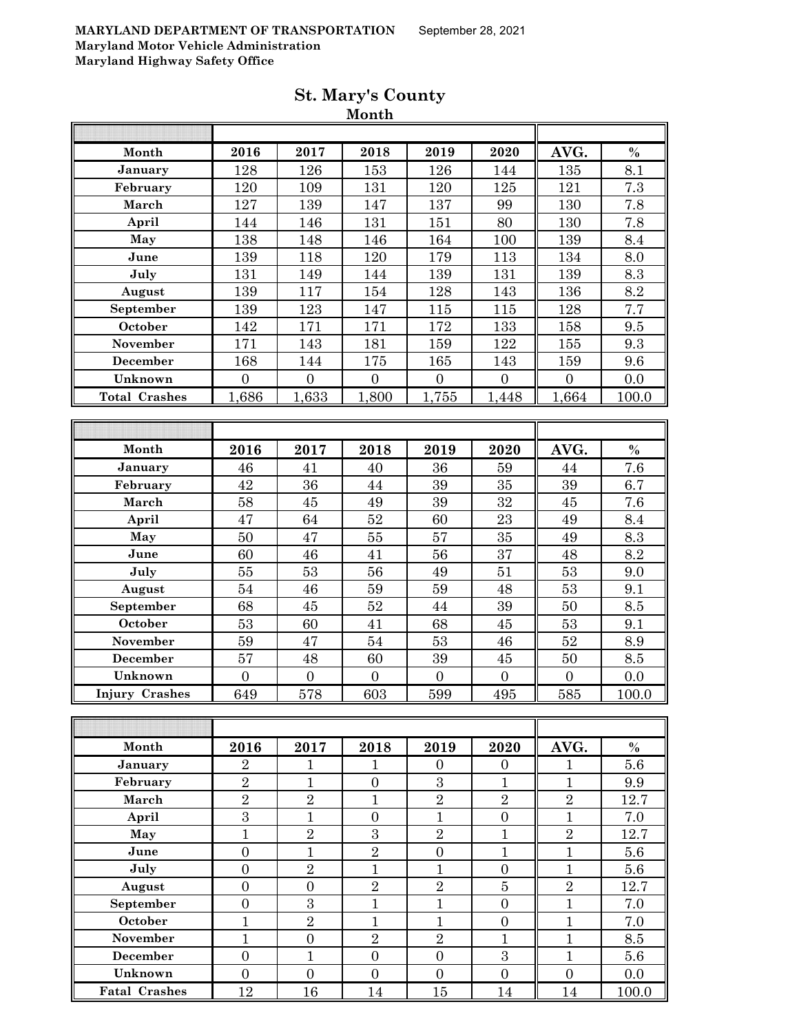| Month                 | 2016             | 2017             | 2018             | 2019             | 2020             | AVG.             | $\%$  |
|-----------------------|------------------|------------------|------------------|------------------|------------------|------------------|-------|
| January               | 128              | 126              | 153              | 126              | 144              | 135              | 8.1   |
| February              | 120              | 109              | 131              | 120              | 125              | 121              | 7.3   |
| March                 | 127              | 139              | 147              | 137              | 99               | 130              | 7.8   |
| April                 | 144              | 146              | 131              | 151              | 80               | 130              | 7.8   |
| May                   | 138              | 148              | 146              | 164              | 100              | 139              | 8.4   |
| June                  | 139              | 118              | 120              | 179              | 113              | 134              | 8.0   |
| July                  | 131              | 149              | 144              | 139              | 131              | 139              | 8.3   |
| August                | 139              | 117              | 154              | 128              | 143              | 136              | 8.2   |
| September             | 139              | 123              | 147              | 115              | 115              | 128              | 7.7   |
| October               | 142              | 171              | 171              | 172              | 133              | 158              | 9.5   |
| November              | 171              | 143              | 181              | 159              | 122              | 155              | 9.3   |
| December              | 168              | 144              | 175              | 165              | 143              | 159              | 9.6   |
| Unknown               | $\boldsymbol{0}$ | $\overline{0}$   | $\boldsymbol{0}$ | $\overline{0}$   | $\boldsymbol{0}$ | $\boldsymbol{0}$ | 0.0   |
| <b>Total Crashes</b>  | 1,686            | 1,633            | 1,800            | 1,755            | 1,448            | 1,664            | 100.0 |
|                       |                  |                  |                  |                  |                  |                  |       |
|                       |                  |                  |                  |                  |                  |                  |       |
| Month                 | 2016             | 2017             | 2018             | 2019             | 2020             | AVG.             | $\%$  |
| January               | 46               | 41               | 40               | 36               | 59               | 44               | 7.6   |
| February              | 42               | 36               | 44               | 39               | 35               | 39               | 6.7   |
| March                 | 58               | $\rm 45$         | 49               | $39\,$           | $32\,$           | $\rm 45$         | 7.6   |
| April                 | 47               | 64               | $52\,$           | 60               | 23               | 49               | 8.4   |
| May                   | 50               | 47               | $55\,$           | 57               | 35               | 49               | 8.3   |
| June                  | 60               | 46               | 41               | 56               | 37               | 48               | 8.2   |
| July                  | 55               | 53               | 56               | 49               | 51               | 53               | 9.0   |
| August                | 54               | 46               | 59               | 59               | 48               | $53\,$           | 9.1   |
| September             | 68               | $\rm 45$         | 52               | 44               | 39               | 50               | 8.5   |
| October               | 53               | 60               | 41               | 68               | 45               | 53               | 9.1   |
| November              | 59               | 47               | 54               | 53               | 46               | $\sqrt{52}$      | 8.9   |
| December              | 57               | 48               | 60               | 39               | $\rm 45$         | $50\,$           | 8.5   |
| Unknown               | $\boldsymbol{0}$ | $\mathbf{0}$     | $\boldsymbol{0}$ | $\mathbf{0}$     | $\overline{0}$   | $\overline{0}$   | 0.0   |
| <b>Injury Crashes</b> | 649              | 578              | 603              | 599              | 495              | 585              | 100.0 |
|                       |                  |                  |                  |                  |                  |                  |       |
|                       |                  |                  |                  |                  |                  |                  |       |
| Month                 | 2016             | 2017             | 2018             | 2019             | 2020             | AVG.             | $\%$  |
| January               | $\overline{2}$   | $\mathbf 1$      | 1                | $\overline{0}$   | $\overline{0}$   | $\mathbf{1}$     | 5.6   |
| February              | $\overline{2}$   | $\mathbf{1}$     | $\overline{0}$   | 3                | $\mathbf{1}$     | $\mathbf{1}$     | 9.9   |
| March                 | $\overline{2}$   | $\sqrt{2}$       | $\mathbf{1}$     | $\sqrt{2}$       | $\sqrt{2}$       | $\overline{2}$   | 12.7  |
| April                 | $\overline{3}$   | $\mathbf{1}$     | $\boldsymbol{0}$ | $\mathbf{1}$     | $\boldsymbol{0}$ | $\mathbf{1}$     | 7.0   |
| May                   | $\mathbf{1}$     | $\overline{2}$   | $\overline{3}$   | $\sqrt{2}$       | $\mathbf{1}$     | $\overline{2}$   | 12.7  |
| June                  | $\overline{0}$   | $\mathbf{1}$     | $\overline{2}$   | $\overline{0}$   | $\mathbf{1}$     | $\mathbf{1}$     | 5.6   |
| July                  | $\overline{0}$   | $\overline{2}$   | $\mathbf{1}$     | $\mathbf{1}$     | $\boldsymbol{0}$ | $\mathbf{1}$     | 5.6   |
| August                | $\boldsymbol{0}$ | $\boldsymbol{0}$ | $\overline{2}$   | $\sqrt{2}$       | $\bf 5$          | $\sqrt{2}$       | 12.7  |
| September             | $\boldsymbol{0}$ | 3                | $\mathbf{1}$     | $\overline{1}$   | $\overline{0}$   | $\mathbf{1}$     | 7.0   |
| October               | $\mathbf{1}$     | $\overline{2}$   | $\mathbf{1}$     | $\mathbf{1}$     | $\boldsymbol{0}$ | $\mathbf{1}$     | 7.0   |
| November              | $\mathbf{1}$     | $\overline{0}$   | $\overline{2}$   | $\overline{2}$   | $\mathbf{1}$     | $\mathbf{1}$     | 8.5   |
| <b>December</b>       | $\boldsymbol{0}$ | $\mathbf{1}$     | $\boldsymbol{0}$ | $\overline{0}$   | $\overline{3}$   | $\mathbf{1}$     | 5.6   |
| Unknown               | $\boldsymbol{0}$ | $\boldsymbol{0}$ | $\boldsymbol{0}$ | $\boldsymbol{0}$ | $\boldsymbol{0}$ | $\boldsymbol{0}$ | 0.0   |
| <b>Fatal Crashes</b>  | 12               | 16               | $14\,$           | 15               | 14               | 14               | 100.0 |
|                       |                  |                  |                  |                  |                  |                  |       |

### **St. Mary's County Month**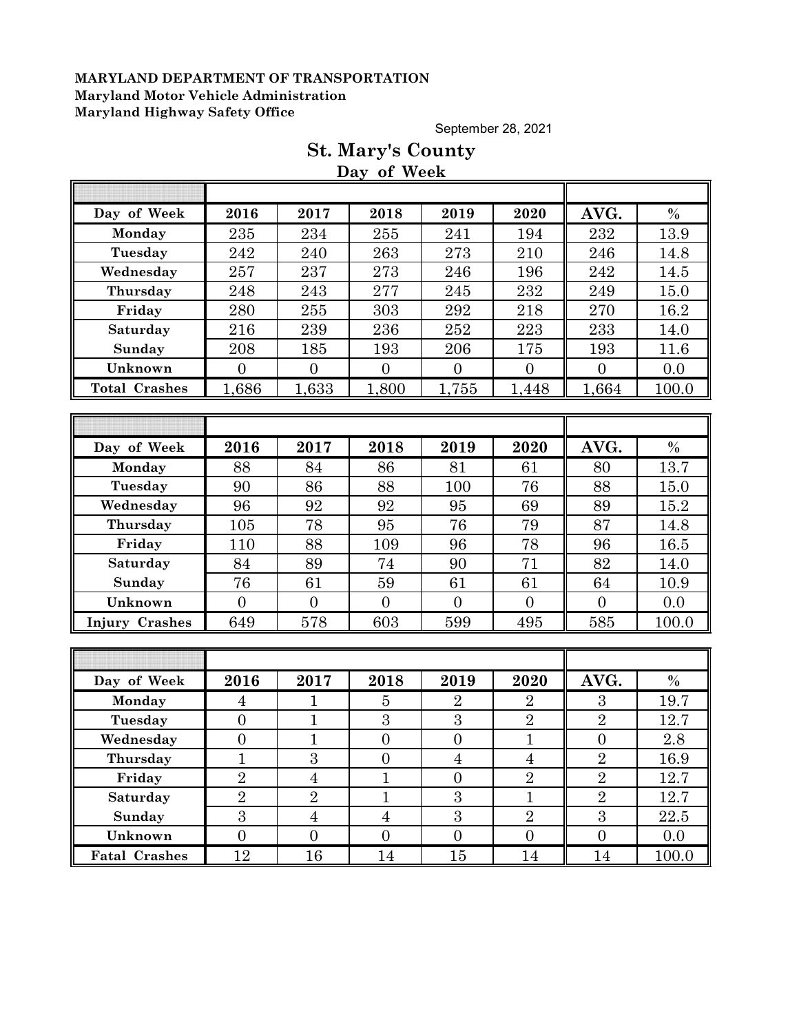September 28, 2021

|                      |                  |                | Day of Week      |                |                  |                  |       |  |  |
|----------------------|------------------|----------------|------------------|----------------|------------------|------------------|-------|--|--|
|                      |                  |                |                  |                |                  |                  |       |  |  |
| Day of Week          | 2016             | 2017           | 2018             | 2019           | 2020             | AVG.             | $\%$  |  |  |
| Monday               | 235              | 234            | 255              | 241            | 194              | 232              | 13.9  |  |  |
| Tuesday              | 242              | 240            | 263              | 273            | 210              | 246              | 14.8  |  |  |
| Wednesday            | 257              | 237            | 273              | 246            | 196              | 242              | 14.5  |  |  |
| Thursday             | 248              | 243            | 277              | 245            | 232              | 249              | 15.0  |  |  |
| Friday               | 280              | 255            | 303              | 292            | 218              | 270              | 16.2  |  |  |
| Saturday             | 216              | 239            | 236              | 252            | 223              | 233              | 14.0  |  |  |
| Sunday               | 208              | 185            | 193              | 206            | 175              | 193              | 11.6  |  |  |
| Unknown              | $\overline{0}$   | $\overline{0}$ | $\overline{0}$   | $\overline{0}$ | $\overline{0}$   | $\overline{0}$   | 0.0   |  |  |
| <b>Total Crashes</b> | 1,686            | 1,633          | 1,800            | 1,755          | 1,448            | 1,664            | 100.0 |  |  |
|                      |                  |                |                  |                |                  |                  |       |  |  |
|                      |                  |                |                  |                |                  |                  |       |  |  |
| Day of Week          | 2016             | 2017           | 2018             | 2019           | 2020             | AVG.             | $\%$  |  |  |
| Monday               | 88               | 84             | 86               | 81             | 61               | 80               | 13.7  |  |  |
| Tuesday              | 90               | 86             | 88               | 100            | 76               | 88               | 15.0  |  |  |
| Wednesday            | 96               | 92             | 92               | 95             | 69               | 89               | 15.2  |  |  |
| Thursday             | 105              | 78             | 95               | 76             | 79               | 87               | 14.8  |  |  |
| Friday               | 110              | 88             | 109              | 96             | 78               | 96               | 16.5  |  |  |
| Saturday             | 84               | 89             | 74               | 90             | 71               | 82               | 14.0  |  |  |
| Sunday               | 76               | 61             | 59               | 61             | 61               | 64               | 10.9  |  |  |
| Unknown              | $\overline{0}$   | $\overline{0}$ | $\overline{0}$   | $\overline{0}$ | $\overline{0}$   | $\overline{0}$   | 0.0   |  |  |
| Injury Crashes       | 649              | 578            | 603              | 599            | 495              | 585              | 100.0 |  |  |
|                      |                  |                |                  |                |                  |                  |       |  |  |
|                      |                  |                |                  |                |                  |                  |       |  |  |
| Day of Week          | 2016             | 2017           | 2018             | 2019           | 2020             | AVG.             | $\%$  |  |  |
| Monday               | $\overline{4}$   | 1              | $\overline{5}$   | $\overline{2}$ | $\overline{2}$   | 3                | 19.7  |  |  |
| Tuesday              | $\overline{0}$   | $\mathbf{1}$   | 3                | 3              | $\overline{2}$   | $\overline{2}$   | 12.7  |  |  |
| Wednesday            | $\overline{0}$   | $\mathbf{1}$   | $\overline{0}$   | $\overline{0}$ | $\mathbf{1}$     | $\overline{0}$   | 2.8   |  |  |
| Thursday             | $\mathbf{1}$     | $\overline{3}$ | $\boldsymbol{0}$ | $\overline{4}$ | $\overline{4}$   | $\overline{2}$   | 16.9  |  |  |
| Friday               | $\overline{2}$   | $\overline{4}$ | $\mathbf{1}$     | $\overline{0}$ | $\overline{2}$   | $\overline{2}$   | 12.7  |  |  |
| Saturday             | $\overline{2}$   | $\overline{2}$ | $\mathbf{1}$     | 3              | $\mathbf{1}$     | $\overline{2}$   | 12.7  |  |  |
| Sunday               | 3                | $\overline{4}$ | $\overline{4}$   | 3              | $\overline{2}$   | $\overline{3}$   | 22.5  |  |  |
| Unknown              | $\boldsymbol{0}$ | $\overline{0}$ | $\overline{0}$   | $\overline{0}$ | $\boldsymbol{0}$ | $\boldsymbol{0}$ | 0.0   |  |  |
| <b>Fatal Crashes</b> | 12               | 16             | 14               | 15             | 14               | 14               | 100.0 |  |  |

# **St. Mary's County**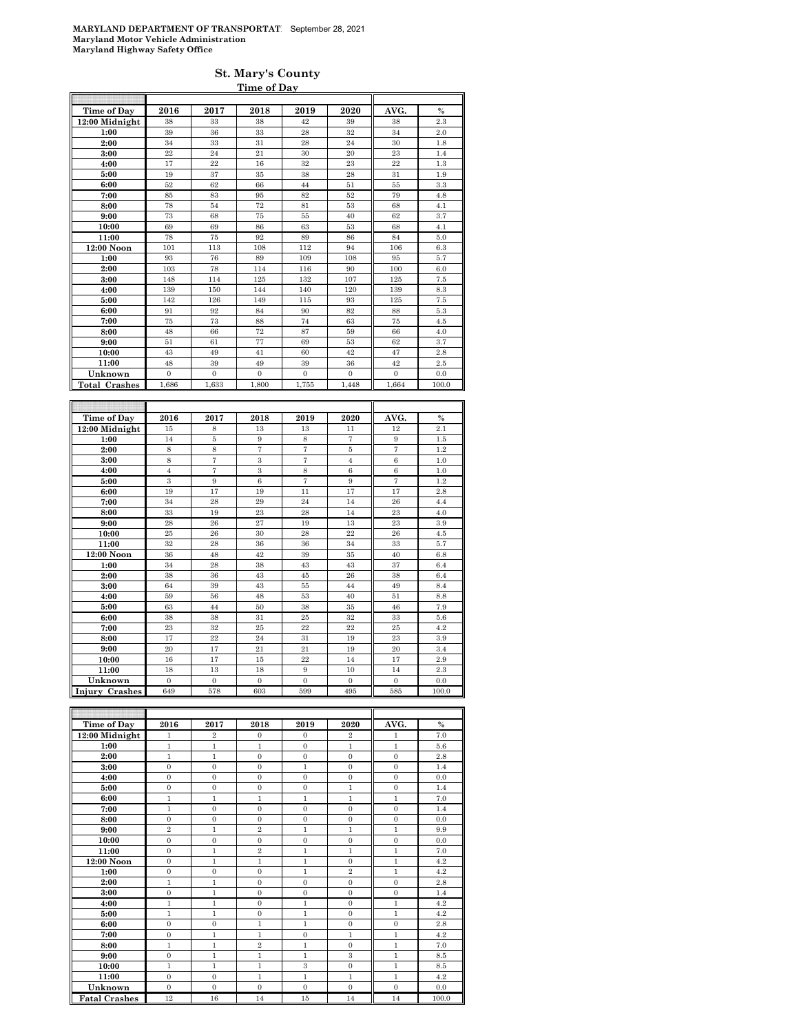#### **St. Mary's County Time of Day**

| Time of Day           | 2016                    | 2017           | 2018             | 2019           | 2020           | AVG.           | $\frac{0}{0}$ |
|-----------------------|-------------------------|----------------|------------------|----------------|----------------|----------------|---------------|
| 12:00 Midnight        | 38                      | 33             | 38               | 42             | 39             | 38             | 2.3           |
| 1:00                  | 39                      | 36             | 33               | 28             | 32             | 34             | 2.0           |
| 2:00                  | 34                      | 33             | 31               | 28             | 24             | 30             | 1.8           |
| 3:00                  | 22                      | 24             | 21               | 30             | 20             | 23             | 1.4           |
| 4:00                  | 17                      | 22             | 16               | 32             | 23             | 22             | 1.3           |
| 5:00                  | 19                      | 37             | 35               | 38             | 28             | 31             | 1.9           |
| 6:00                  | 52                      | 62             | 66               | 44             | 51             | 55             | 3.3           |
| 7:00                  | 85                      | 83             | 95               | 82             | 52             | 79             | 4.8           |
| 8:00                  | 78                      | 54             | 72               | 81             | 53             | 68             | 4.1           |
| 9:00                  | 73                      | 68             | 75               | 55             | 40             | 62             | 3.7           |
| 10:00                 | 69                      | 69             | 86               | 63             | 53             | 68             | 4.1           |
| 11:00                 | 78                      | 75             | 92               | 89             | 86             | 84             | 5.0           |
| 12:00 Noon            | 101                     | 113            | 108              | 112            | 94             | 106            | 6.3           |
| 1:00                  | 93                      | 76             | 89               | 109            | 108            | 95             | 5.7           |
| 2:00                  | 103                     | 78             | 114              | 116            | 90             | 100            | 6.0           |
| 3:00                  | 148                     | 114            | 125              | 132            | 107            | 125            | 7.5           |
| 4:00                  | 139                     | 150            | 144              | 140            | 120            | 139            | 8.3           |
| 5:00                  | 142                     | 126            | 149              | 115            | 93             | 125            | 7.5           |
| 6:00                  | 91                      | 92             | 84               | 90             | 82             | 88             | 5.3           |
| 7:00                  | 75                      | 73             | 88               | 74             | 63             | 75             | 4.5           |
| 8:00                  | 48                      | 66             | 72               | 87             | 59             | 66             | 4.0           |
| 9:00                  | 51                      | 61             | 77               | 69             | 53             | 62             | 3.7           |
| 10:00                 | 43                      | 49             | 41               | 60             | 42             | 47             | 2.8           |
| 11:00                 | 48                      | 39             | 49               | 39             | 36             | 42             | 2.5           |
| Unknown               | $\overline{0}$          | $\overline{0}$ | $\mathbf{0}$     | $\overline{0}$ | $\overline{0}$ | $\mathbf{0}$   | 0.0           |
| <b>Total Crashes</b>  | 1.686                   | 1.633          | 1.800            | 1.755          | 1.448          | 1.664          | 100.0         |
|                       |                         |                |                  |                |                |                |               |
|                       |                         |                |                  |                |                |                |               |
|                       |                         |                |                  |                |                |                |               |
| Time of Day           | 2016                    | 2017           | 2018             | 2019           | 2020           | AVG.           | $\%$          |
| 12:00 Midnight        | $15\,$                  | 8              | 13               | 13             | 11             | 12             | 2.1           |
| 1:00                  | 14                      | 5              | 9                | 8              | $\overline{7}$ | 9              | 1.5           |
| 2:00                  | 8                       | 8              | 7                | $\overline{7}$ | 5              | $\overline{7}$ | 1.2           |
| 3:00                  | 8                       | 7              | $\boldsymbol{3}$ | $\overline{7}$ | $\overline{4}$ | 6              | 1.0           |
| 4:00                  | $\overline{4}$          | 7              | $\boldsymbol{3}$ | 8              | 6              | 6              | 1.0           |
| 5:00                  | $\overline{\mathbf{3}}$ | 9              | $\overline{6}$   | $\overline{7}$ | $\overline{9}$ | 7              | 1.2           |
| 6:00                  | 19                      | 17             | 19               | 11             | 17             | 17             | 2.8           |
| 7:00                  | 34                      | 28             | 29               | 24             | 14             | 26             | 4.4           |
| 8:00                  | 33                      | 19             | 23               | 28             | 14             | 23             | 4.0           |
| 9:00                  | 28                      | 26             | 27               | 19             | 13             | 23             | 3.9           |
| 10:00                 | 25                      | 26             | 30               | 28             | 22             | 26             | 4.5           |
| 11:00                 | 32                      | 28             | 36               | 36             | 34             | 33             | 5.7           |
| 12:00 Noon            | 36                      | 48             | 42               | 39             | 35             | 40             | 6.8           |
| 1:00                  | 34                      | 28             | 38               | 43             | 43             | 37             | 6.4           |
| 2:00                  | 38                      | 36             | 43               | 45             | 26             | 38             | 6.4           |
| 3:00                  | 64                      | 39<br>56       | 43<br>48         | 55             | 44<br>40       | 49<br>51       | 8.4           |
| 4:00                  | 59<br>63                | 44             | 50               | 53<br>38       | 35             | 46             | 8.8<br>7.9    |
| 5:00                  |                         | 38             | 31               | 25             | 32             |                |               |
| 6:00                  | 38                      | 32             | 25               | 22             | 22             | 33<br>25       | 5.6<br>4.2    |
| 7:00                  | 23                      |                |                  |                |                |                |               |
| 8:00                  | 17<br>20                | $^{22}$<br>17  | 24<br>21         | 31<br>21       | 19<br>19       | 23<br>20       | 3.9<br>3.4    |
| 9:00                  |                         |                |                  | 22             |                |                |               |
| 10:00<br>11:00        | 16<br>18                | 17<br>13       | 15<br>18         | 9              | 14<br>10       | 17<br>14       | 2.9<br>2.3    |
| Unknown               | $\overline{0}$          | $\overline{0}$ | $\mathbf{0}$     | $\overline{0}$ | $\mathbf{0}$   | $\mathbf{0}$   | 0.0           |
| <b>Injury Crashes</b> | 649                     | 578            | 603              | 599            | 495            | 585            | 100.0         |

| Time of Day          | 2016           | 2017           | 2018                    | 2019           | 2020           | AVG.           | $\%$  |
|----------------------|----------------|----------------|-------------------------|----------------|----------------|----------------|-------|
| 12:00 Midnight       | $\mathbf{1}$   | $\overline{2}$ | $\mathbf{0}$            | $\Omega$       | $\overline{2}$ | 1              | 7.0   |
| 1:00                 | $\mathbf{1}$   | $\mathbf{1}$   | $\mathbf{1}$            | $\theta$       | $\mathbf{1}$   | $\mathbf{1}$   | 5.6   |
| 2:00                 | $\mathbf{1}$   | $\mathbf{1}$   | $\overline{0}$          | $\Omega$       | $\Omega$       | $\overline{0}$ | 2.8   |
| 3:00                 | $\mathbf{0}$   | $\mathbf{0}$   | $\mathbf{0}$            | $\mathbf{1}$   | $\mathbf{0}$   | $\mathbf{0}$   | 1.4   |
| 4:00                 | $\overline{0}$ | $\mathbf{0}$   | $\overline{0}$          | $\theta$       | $\overline{0}$ | $\mathbf{0}$   | 0.0   |
| 5:00                 | $\mathbf{0}$   | $\Omega$       | $\mathbf{0}$            | $\overline{0}$ | $\mathbf{1}$   | $\overline{0}$ | 1.4   |
| 6:00                 | $\mathbf{1}$   | $\mathbf{1}$   | $\mathbf{1}$            | $\mathbf{1}$   | $\mathbf{1}$   | $\mathbf{1}$   | 7.0   |
| 7:00                 | $\mathbf{1}$   | $\overline{0}$ | $\overline{0}$          | $\overline{0}$ | $\overline{0}$ | $\overline{0}$ | 1.4   |
| 8:00                 | $\mathbf{0}$   | $\mathbf{0}$   | $\mathbf{0}$            | $\overline{0}$ | $\mathbf{0}$   | $\mathbf{0}$   | 0.0   |
| 9:00                 | $\overline{2}$ | $\mathbf{1}$   | $\overline{2}$          | $\mathbf{1}$   | $\mathbf{1}$   | $\mathbf{1}$   | 9.9   |
| 10:00                | $\mathbf{0}$   | $\mathbf{0}$   | $\overline{0}$          | $\mathbf{0}$   | $\mathbf{0}$   | $\mathbf{0}$   | 0.0   |
| 11:00                | $\mathbf{0}$   | $\mathbf{1}$   | $\overline{\mathbf{2}}$ | $\mathbf{1}$   | $\mathbf{1}$   | 1              | 7.0   |
| $12:00$ Noon         | $\Omega$       | 1              | 1                       | $\mathbf{1}$   | $\Omega$       | $\mathbf{1}$   | 4.2   |
| 1:00                 | $\Omega$       | $\overline{0}$ | $\mathbf{0}$            | $\mathbf{1}$   | $\overline{2}$ | $\mathbf{1}$   | 4.2   |
| 2:00                 | $\mathbf{1}$   | $\mathbf{1}$   | $\mathbf{0}$            | $\Omega$       | $\overline{0}$ | $\mathbf{0}$   | 2.8   |
| 3:00                 | $\Omega$       | 1              | $\Omega$                | $\theta$       | $\Omega$       | $\mathbf{0}$   | 1.4   |
| 4:00                 | $\mathbf{1}$   | $\mathbf{1}$   | $\mathbf{0}$            | $\mathbf{1}$   | $\overline{0}$ | $\mathbf{1}$   | 4.2   |
| 5:00                 | $\mathbf{1}$   | $\mathbf{1}$   | $\mathbf{0}$            | $\mathbf{1}$   | $\mathbf{0}$   | $\mathbf{1}$   | 4.2   |
| 6:00                 | $\Omega$       | $\theta$       | $\mathbf{1}$            | $\mathbf{1}$   | $\Omega$       | $\overline{0}$ | 2.8   |
| 7:00                 | $\mathbf{0}$   | $\mathbf{1}$   | $\mathbf{1}$            | $\mathbf{0}$   | $\mathbf{1}$   | $\mathbf{1}$   | 4.2   |
| 8:00                 | $\mathbf{1}$   | $\mathbf{1}$   | $\,2\,$                 | $\mathbf{1}$   | $\overline{0}$ | $\mathbf{1}$   | 7.0   |
| 9:00                 | $\Omega$       | $\mathbf{1}$   | $\mathbf{1}$            | $\mathbf{1}$   | 3              | $\mathbf{1}$   | 8.5   |
| 10:00                | 1              | $\mathbf{1}$   | $\mathbf{1}$            | 3              | $\mathbf{0}$   | 1              | 8.5   |
| 11:00                | $\mathbf{0}$   | $\mathbf{0}$   | $\mathbf{1}$            | $\mathbf{1}$   | $\mathbf{1}$   | $\mathbf{1}$   | 4.2   |
| Unknown              | $\mathbf{0}$   | $\mathbf{0}$   | $\mathbf{0}$            | $\mathbf{0}$   | $\mathbf{0}$   | $\mathbf{0}$   | 0.0   |
| <b>Fatal Crashes</b> | 12             | 16             | 14                      | 15             | 14             | 14             | 100.0 |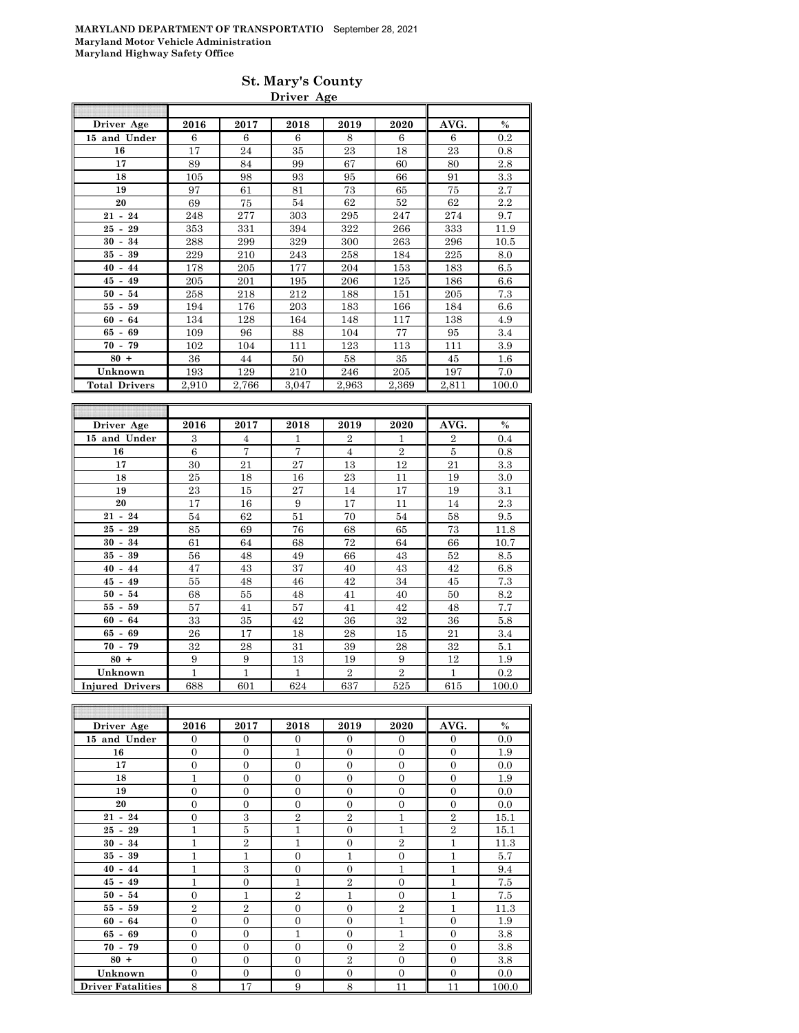| <b>St. Mary's County</b> |  |
|--------------------------|--|
| Driver Age               |  |

| Driver Age           | 2016  | 2017  | 2018  | 2019  | 2020  | AVG.  | $\frac{0}{0}$ |
|----------------------|-------|-------|-------|-------|-------|-------|---------------|
| 15 and Under         | 6     | 6     | 6     | 8     | 6     | 6     | 0.2           |
| 16                   | 17    | 24    | 35    | 23    | 18    | 23    | 0.8           |
| 17                   | 89    | 84    | 99    | 67    | 60    | 80    | 2.8           |
| 18                   | 105   | 98    | 93    | 95    | 66    | 91    | 3.3           |
| 19                   | 97    | 61    | 81    | 73    | 65    | 75    | 2.7           |
| 20                   | 69    | 75    | 54    | 62    | 52    | 62    | 2.2           |
| $21 - 24$            | 248   | 277   | 303   | 295   | 247   | 274   | 9.7           |
| 29<br>$25 -$         | 353   | 331   | 394   | 322   | 266   | 333   | 11.9          |
| 30 -<br>34           | 288   | 299   | 329   | 300   | 263   | 296   | 10.5          |
| 39<br>35 -           | 229   | 210   | 243   | 258   | 184   | 225   | 8.0           |
| $40 - 44$            | 178   | 205   | 177   | 204   | 153   | 183   | 6.5           |
| $45 - 49$            | 205   | 201   | 195   | 206   | 125   | 186   | 6.6           |
| $50 - 54$            | 258   | 218   | 212   | 188   | 151   | 205   | 7.3           |
| 55 -<br>59           | 194   | 176   | 203   | 183   | 166   | 184   | 6.6           |
| $60 - 64$            | 134   | 128   | 164   | 148   | 117   | 138   | 4.9           |
| $65 - 69$            | 109   | 96    | 88    | 104   | 77    | 95    | 3.4           |
| $70 - 79$            | 102   | 104   | 111   | 123   | 113   | 111   | 3.9           |
| $80 +$               | 36    | 44    | 50    | 58    | 35    | 45    | $1.6\,$       |
| Unknown              | 193   | 129   | 210   | 246   | 205   | 197   | 7.0           |
| <b>Total Drivers</b> | 2,910 | 2,766 | 3,047 | 2,963 | 2,369 | 2,811 | 100.0         |
|                      |       |       |       |       |       | ī     |               |

| Driver Age             | 2016 | 2017           | 2018           | 2019           | 2020           | AVG.           | $\%$     |
|------------------------|------|----------------|----------------|----------------|----------------|----------------|----------|
| 15 and Under           | 3    | $\overline{4}$ | 1              | $\overline{2}$ | 1              | $\overline{2}$ | 0.4      |
| 16                     | 6    | $\overline{7}$ | $\overline{7}$ | $\overline{4}$ | $\overline{2}$ | 5              | 0.8      |
| 17                     | 30   | 21             | 27             | 13             | 12             | 21             | 3.3      |
| 18                     | 25   | 18             | 16             | 23             | 11             | 19             | 3.0      |
| 19                     | 23   | 15             | 27             | 14             | 17             | 19             | 3.1      |
| 20                     | 17   | 16             | 9              | 17             | 11             | 14             | $^{2.3}$ |
| $21 - 24$              | 54   | 62             | 51             | 70             | 54             | 58             | 9.5      |
| $25 -$<br>29           | 85   | 69             | 76             | 68             | 65             | 73             | 11.8     |
| 34<br>$30 -$           | 61   | 64             | 68             | 72             | 64             | 66             | 10.7     |
| 39<br>35 -             | 56   | 48             | 49             | 66             | 43             | 52             | 8.5      |
| $40 - 44$              | 47   | 43             | 37             | 40             | 43             | 42             | 6.8      |
| $45 - 49$              | 55   | 48             | 46             | 42             | 34             | 45             | 7.3      |
| $50 - 54$              | 68   | 55             | 48             | 41             | 40             | 50             | 8.2      |
| $55 - 59$              | 57   | 41             | 57             | 41             | 42             | 48             | 7.7      |
| $60 - 64$              | 33   | 35             | 42             | 36             | 32             | 36             | 5.8      |
| $65 - 69$              | 26   | 17             | 18             | 28             | 15             | 21             | 3.4      |
| $70 - 79$              | 32   | 28             | 31             | 39             | 28             | 32             | 5.1      |
| $80 +$                 | 9    | 9              | 13             | 19             | 9              | 12             | 1.9      |
| Unknown                | 1    | $\overline{1}$ | 1              | $\overline{2}$ | $\overline{2}$ | $\mathbf{1}$   | 0.2      |
| <b>Injured Drivers</b> | 688  | 601            | 624            | 637            | 525            | 615            | 100.0    |

| Driver Age               | 2016           | 2017           | 2018           | 2019           | 2020           | AVG.           | $\%$  |
|--------------------------|----------------|----------------|----------------|----------------|----------------|----------------|-------|
| 15 and Under             | $\Omega$       | $\overline{0}$ | $\Omega$       | $\Omega$       | $\overline{0}$ | $\overline{0}$ | 0.0   |
| 16                       | $\overline{0}$ | $\overline{0}$ | $\mathbf{1}$   | $\overline{0}$ | $\overline{0}$ | $\overline{0}$ | 1.9   |
| 17                       | $\overline{0}$ | $\overline{0}$ | $\overline{0}$ | $\Omega$       | $\overline{0}$ | $\overline{0}$ | 0.0   |
| 18                       | 1              | $\overline{0}$ | $\Omega$       | $\Omega$       | $\overline{0}$ | $\overline{0}$ | 1.9   |
| 19                       | $\Omega$       | $\theta$       | $\theta$       | $\Omega$       | $\theta$       | $\overline{0}$ | 0.0   |
| 20                       | $\overline{0}$ | $\overline{0}$ | $\Omega$       | $\Omega$       | $\overline{0}$ | $\overline{0}$ | 0.0   |
| $21 - 24$                | $\overline{0}$ | 3              | $\overline{2}$ | $\overline{2}$ | $\mathbf{1}$   | $\overline{2}$ | 15.1  |
| $25 - 29$                | 1              | 5              | $\mathbf{1}$   | $\overline{0}$ | $\mathbf{1}$   | $\overline{2}$ | 15.1  |
| $30 - 34$                | $\mathbf{1}$   | $\overline{2}$ | 1              | $\overline{0}$ | $\overline{2}$ | $\overline{1}$ | 11.3  |
| $35 - 39$                | $\mathbf{1}$   | $\mathbf{1}$   | $\overline{0}$ | $\mathbf{1}$   | $\overline{0}$ | $\overline{1}$ | 5.7   |
| $40 - 44$                | 1              | 3              | $\theta$       | $\Omega$       | $\mathbf{1}$   | $\overline{1}$ | 9.4   |
| $45 - 49$                | 1              | $\overline{0}$ | 1              | $\overline{2}$ | $\overline{0}$ | 1              | 7.5   |
| $50 - 54$                | $\Omega$       | $\mathbf{1}$   | $\overline{2}$ | 1              | $\theta$       | 1              | 7.5   |
| $55 - 59$                | $\overline{2}$ | $\overline{2}$ | $\Omega$       | $\Omega$       | $\overline{2}$ | 1              | 11.3  |
| $60 - 64$                | $\overline{0}$ | $\overline{0}$ | $\Omega$       | $\Omega$       | $\mathbf{1}$   | $\overline{0}$ | 1.9   |
| $65 - 69$                | $\overline{0}$ | $\overline{0}$ | $\mathbf{1}$   | $\Omega$       | $\mathbf{1}$   | $\overline{0}$ | 3.8   |
| $70 - 79$                | $\overline{0}$ | $\overline{0}$ | $\overline{0}$ | $\Omega$       | $\overline{2}$ | $\overline{0}$ | 3.8   |
| $80 +$                   | $\overline{0}$ | $\overline{0}$ | $\theta$       | $\overline{2}$ | $\overline{0}$ | $\overline{0}$ | 3.8   |
| Unknown                  | $\overline{0}$ | $\overline{0}$ | $\overline{0}$ | $\overline{0}$ | $\overline{0}$ | $\overline{0}$ | 0.0   |
| <b>Driver Fatalities</b> | 8              | 17             | 9              | 8              | 11             | 11             | 100.0 |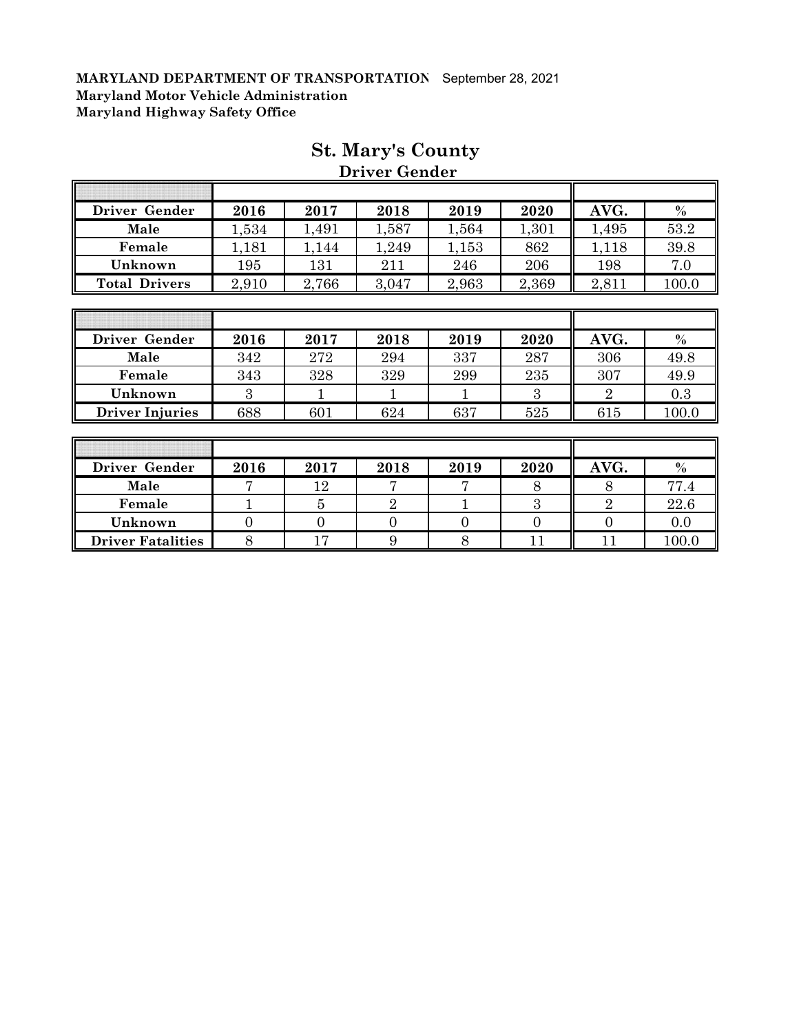| Driver Gender          | 2016  | 2017  | 2018  | 2019  | 2020  | AVG.           | $\frac{0}{0}$ |
|------------------------|-------|-------|-------|-------|-------|----------------|---------------|
| Male                   | 1,534 | 1,491 | 1,587 | 1,564 | 1,301 | 1,495          | 53.2          |
| Female                 | 1,181 | 1,144 | 1,249 | 1,153 | 862   | 1,118          | 39.8          |
| Unknown                | 195   | 131   | 211   | 246   | 206   | 198            | 7.0           |
| <b>Total Drivers</b>   | 2,910 | 2,766 | 3,047 | 2,963 | 2,369 | 2,811          | 100.0         |
|                        |       |       |       |       |       |                |               |
|                        |       |       |       |       |       |                |               |
| Driver Gender          | 2016  | 2017  | 2018  | 2019  | 2020  | AVG.           | $\%$          |
| Male                   | 342   | 272   | 294   | 337   | 287   | 306            | 49.8          |
| Female                 | 343   | 328   | 329   | 299   | 235   | 307            | 49.9          |
| Unknown                | 3     |       |       | 1     | 3     | $\overline{2}$ | 0.3           |
| <b>Driver Injuries</b> | 688   | 601   | 624   | 637   | 525   | 615            | 100.0         |
|                        |       |       |       |       |       |                |               |
|                        |       |       |       |       |       |                |               |
| Driver Gender          | 2016  | 2017  | 2018  | 2019  | 2020  | AVG.           | $\%$          |
| Male                   | 7     | 12    | 7     | 7     | 8     | 8              | 77.4          |

**Female** 1 | 5 | 2 | 1 | 3 | 2 | 22.6 **Unknown** 0 0 0 0 0 0 0.0 **Driver Fatalities** 8 17 9 8 11 11 100.0

### **St. Mary's County Driver Gender**

1

T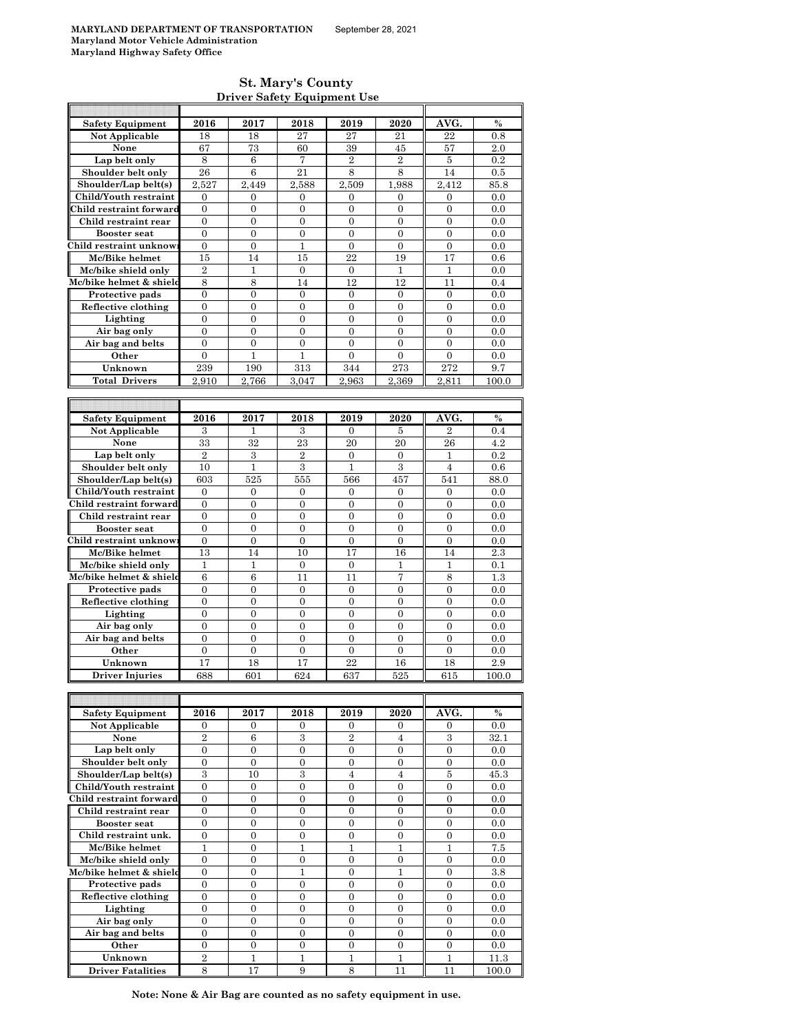$\mathsf{r}$ 

#### **St. Mary's County Driver Safety Equipment Use**

| <b>Safety Equipment</b>  | 2016             | 2017             | 2018             | 2019             | 2020             | AVG.             | $\%$  |
|--------------------------|------------------|------------------|------------------|------------------|------------------|------------------|-------|
| <b>Not Applicable</b>    | 18               | 18               | 27               | 27               | 21               | 22               | 0.8   |
| None                     | 67               | 73               | 60               | 39               | 45               | 57               | 2.0   |
| Lap belt only            |                  | 6                | 7                | $\,2\,$          | $\,2$            | 5                | 0.2   |
|                          | 8                |                  |                  |                  |                  |                  |       |
| Shoulder belt only       | 26               | 6                | 21               | 8                | 8                | 14               | 0.5   |
| Shoulder/Lap belt(s)     | 2,527            | 2,449            | 2,588            | 2,509            | 1,988            | 2,412            | 85.8  |
| Child/Youth restraint    | 0                | 0                | 0                | 0                | 0                | 0                | 0.0   |
| Child restraint forward  | $\overline{0}$   | $\mathbf{0}$     | $\mathbf{0}$     | $\boldsymbol{0}$ | $\overline{0}$   | $\overline{0}$   | 0.0   |
| Child restraint rear     | 0                | $\mathbf{0}$     | $\boldsymbol{0}$ | $\boldsymbol{0}$ | $\boldsymbol{0}$ | $\boldsymbol{0}$ | 0.0   |
| <b>Booster</b> seat      | $\mathbf{0}$     | $\mathbf{0}$     | $\overline{0}$   | $\overline{0}$   | $\overline{0}$   | $\boldsymbol{0}$ | 0.0   |
| Child restraint unknow   | $\boldsymbol{0}$ | $\boldsymbol{0}$ | 1                | $\boldsymbol{0}$ | $\boldsymbol{0}$ | $\boldsymbol{0}$ | 0.0   |
| Mc/Bike helmet           | 15               | 14               | 15               | 22               | 19               | 17               | 0.6   |
| Mc/bike shield only      |                  | $\mathbf{1}$     |                  |                  |                  |                  |       |
|                          | $\overline{2}$   |                  | $\mathbf{0}$     | $\mathbf{0}$     | $\mathbf{1}$     | $\mathbf{1}$     | 0.0   |
| Mc/bike helmet & shield  | 8                | 8                | 14               | 12               | 12               | 11               | 0.4   |
| Protective pads          | 0                | $\mathbf{0}$     | $\overline{0}$   | 0                | $\overline{0}$   | $\boldsymbol{0}$ | 0.0   |
| Reflective clothing      | 0                | $\boldsymbol{0}$ | 0                | 0                | $\boldsymbol{0}$ | 0                | 0.0   |
| Lighting                 | $\overline{0}$   | $\overline{0}$   | $\overline{0}$   | $\overline{0}$   | $\overline{0}$   | $\overline{0}$   | 0.0   |
| Air bag only             | $\boldsymbol{0}$ | $\boldsymbol{0}$ | $\boldsymbol{0}$ | $\boldsymbol{0}$ | 0                | 0                | 0.0   |
| Air bag and belts        | $\overline{0}$   | $\mathbf{0}$     | $\overline{0}$   | $\overline{0}$   | $\overline{0}$   | $\overline{0}$   | 0.0   |
| Other                    | 0                | $\mathbf{1}$     | 1                | $\boldsymbol{0}$ | $\boldsymbol{0}$ | 0                | 0.0   |
| Unknown                  | 239              | 190              | 313              | 344              | 273              | 272              | 9.7   |
| <b>Total Drivers</b>     | 2.910            |                  | 3.047            | 2.963            |                  |                  |       |
|                          |                  | 2,766            |                  |                  | 2,369            | 2,811            | 100.0 |
|                          |                  |                  |                  |                  |                  |                  |       |
|                          |                  |                  |                  |                  |                  |                  |       |
| <b>Safety Equipment</b>  | 2016             | 2017             | 2018             | 2019             | 2020             | AVG.             | $\%$  |
| Not Applicable           | 3                | 1                | 3                | 0                | 5                | $\overline{2}$   | 0.4   |
| None                     | 33               | 32               | 23               | 20               | 20               | 26               | 4.2   |
| Lap belt only            | $\overline{2}$   | 3                | $\overline{2}$   | $\boldsymbol{0}$ | $\boldsymbol{0}$ | 1                | 0.2   |
| Shoulder belt only       | 10               | $\mathbf{1}$     | 3                | $\mathbf{1}$     | 3                | $\overline{4}$   | 0.6   |
| Shoulder/Lap belt(s)     | 603              | 525              | 555              | 566              | 457              | 541              | 88.0  |
|                          |                  |                  |                  |                  |                  |                  |       |
| Child/Youth restraint    | $\mathbf{0}$     | $\boldsymbol{0}$ | $\mathbf{0}$     | $\mathbf{0}$     | 0                | 0                | 0.0   |
| Child restraint forward  | $\boldsymbol{0}$ | $\boldsymbol{0}$ | $\boldsymbol{0}$ | $\boldsymbol{0}$ | $\boldsymbol{0}$ | $\boldsymbol{0}$ | 0.0   |
| Child restraint rear     | $\overline{0}$   | $\mathbf{0}$     | $\overline{0}$   | $\overline{0}$   | $\overline{0}$   | $\overline{0}$   | 0.0   |
| <b>Booster seat</b>      | $\overline{0}$   | $\overline{0}$   | $\overline{0}$   | $\overline{0}$   | $\overline{0}$   | $\overline{0}$   | 0.0   |
| Child restraint unknow   | 0                | $\boldsymbol{0}$ | 0                | 0                | $\boldsymbol{0}$ | $\boldsymbol{0}$ | 0.0   |
| Mc/Bike helmet           | 13               | 14               | 10               | 17               | 16               | 14               | 2.3   |
| Mc/bike shield only      | $\mathbf{1}$     | 1                | 0                | $\boldsymbol{0}$ | 1                | 1                | 0.1   |
| Mc/bike helmet & shield  | $\boldsymbol{6}$ | 6                | 11               | 11               | $\overline{7}$   | 8                | 1.3   |
| Protective pads          | 0                | $\boldsymbol{0}$ | $\boldsymbol{0}$ | $\boldsymbol{0}$ | 0                | 0                | 0.0   |
|                          |                  |                  |                  |                  |                  |                  |       |
| Reflective clothing      | $\boldsymbol{0}$ | $\overline{0}$   | $\overline{0}$   | $\overline{0}$   | $\overline{0}$   | $\boldsymbol{0}$ | 0.0   |
| Lighting                 | 0                | $\boldsymbol{0}$ | $\boldsymbol{0}$ | 0                | $\boldsymbol{0}$ | $\boldsymbol{0}$ | 0.0   |
| Air bag only             | $\overline{0}$   | $\overline{0}$   | $\overline{0}$   | $\overline{0}$   | $\overline{0}$   | $\overline{0}$   | 0.0   |
| Air bag and belts        | 0                | $\mathbf{0}$     | $\overline{0}$   | $\overline{0}$   | $\boldsymbol{0}$ | $\boldsymbol{0}$ | 0.0   |
| Other                    | $\boldsymbol{0}$ | $\boldsymbol{0}$ | $\boldsymbol{0}$ | $\boldsymbol{0}$ | $\boldsymbol{0}$ | $\boldsymbol{0}$ | 0.0   |
| Unknown                  | 17               | 18               | 17               | 22               | 16               | 18               | 2.9   |
| Driver Injuries          | 688              | 601              | 624              | 637              | 525              | 615              | 100.0 |
|                          |                  |                  |                  |                  |                  |                  |       |
|                          |                  |                  |                  |                  |                  |                  |       |
|                          |                  |                  |                  |                  |                  |                  |       |
| <b>Safety Equipment</b>  | 2016             | 2017             | 2018             | 2019             | 2020             | AVG.             | %     |
| Not Applicable           | 0                | $\mathbf{0}$     | 0                | 0                | 0                | $\overline{0}$   | 0.0   |
| None                     | $\overline{2}$   | 6                | $\,3$            | $\overline{2}$   | $\overline{4}$   | $\,3$            | 32.1  |
| Lap belt only            | $\boldsymbol{0}$ | $\boldsymbol{0}$ | $\boldsymbol{0}$ | $\boldsymbol{0}$ | $\boldsymbol{0}$ | $\boldsymbol{0}$ | 0.0   |
| Shoulder belt only       | $\mathbf{0}$     | $\boldsymbol{0}$ | $\boldsymbol{0}$ | $\boldsymbol{0}$ | $\boldsymbol{0}$ | $\boldsymbol{0}$ | 0.0   |
| Shoulder/Lap belt(s)     | 3                | 10               | 3                | $\overline{4}$   | $\overline{4}$   | 5                | 45.3  |
| Child/Youth restraint    | $\overline{0}$   | $\mathbf{0}$     | $\overline{0}$   | $\overline{0}$   | $\overline{0}$   | $\overline{0}$   | 0.0   |
| Child restraint forward  | 0                | $\boldsymbol{0}$ | 0                | 0                | $\boldsymbol{0}$ | $\boldsymbol{0}$ | 0.0   |
|                          |                  |                  |                  |                  |                  |                  |       |
| Child restraint rear     | $\boldsymbol{0}$ | $\mathbf{0}$     | $\boldsymbol{0}$ | $\boldsymbol{0}$ | $\boldsymbol{0}$ | $\boldsymbol{0}$ | 0.0   |
| <b>Booster seat</b>      | 0                | $\boldsymbol{0}$ | $\boldsymbol{0}$ | 0                | $\boldsymbol{0}$ | $\boldsymbol{0}$ | 0.0   |
| Child restraint unk.     | $\overline{0}$   | $\overline{0}$   | $\overline{0}$   | $\boldsymbol{0}$ | $\overline{0}$   | $\mathbf{0}$     | 0.0   |
| Mc/Bike helmet           | 1                | $\boldsymbol{0}$ | 1                | 1                | 1                | 1                | 7.5   |
| Mc/bike shield only      | $\boldsymbol{0}$ | $\mathbf{0}$     | $\boldsymbol{0}$ | $\overline{0}$   | $\overline{0}$   | $\boldsymbol{0}$ | 0.0   |
| Mc/bike helmet & shield  | 0                | $\boldsymbol{0}$ | 1                | 0                | 1                | $\boldsymbol{0}$ | 3.8   |
| Protective pads          | $\overline{0}$   | $\overline{0}$   | $\overline{0}$   | $\overline{0}$   | $\overline{0}$   | $\overline{0}$   | 0.0   |
| Reflective clothing      | $\boldsymbol{0}$ | $\mathbf{0}$     | $\boldsymbol{0}$ | $\boldsymbol{0}$ | $\boldsymbol{0}$ | $\boldsymbol{0}$ | 0.0   |
|                          |                  |                  |                  |                  |                  |                  |       |
| Lighting                 | $\boldsymbol{0}$ | $\boldsymbol{0}$ | $\boldsymbol{0}$ | 0                | $\boldsymbol{0}$ | $\boldsymbol{0}$ | 0.0   |
| Air bag only             | 0                | $\boldsymbol{0}$ | $\boldsymbol{0}$ | $\boldsymbol{0}$ | $\boldsymbol{0}$ | $\boldsymbol{0}$ | 0.0   |
| Air bag and belts        | $\boldsymbol{0}$ | $\mathbf{0}$     | $\boldsymbol{0}$ | $\boldsymbol{0}$ | $\boldsymbol{0}$ | $\boldsymbol{0}$ | 0.0   |
| Other                    | $\overline{0}$   | $\mathbf{0}$     | $\overline{0}$   | $\overline{0}$   | $\overline{0}$   | $\overline{0}$   | 0.0   |
| Unknown                  | 2                | $\mathbf{1}$     | 1                | 1                | 1                | 1                | 11.3  |
| <b>Driver Fatalities</b> | 8                | 17               | 9                | 8                | 11               | 11               | 100.0 |

**Note: None & Air Bag are counted as no safety equipment in use.**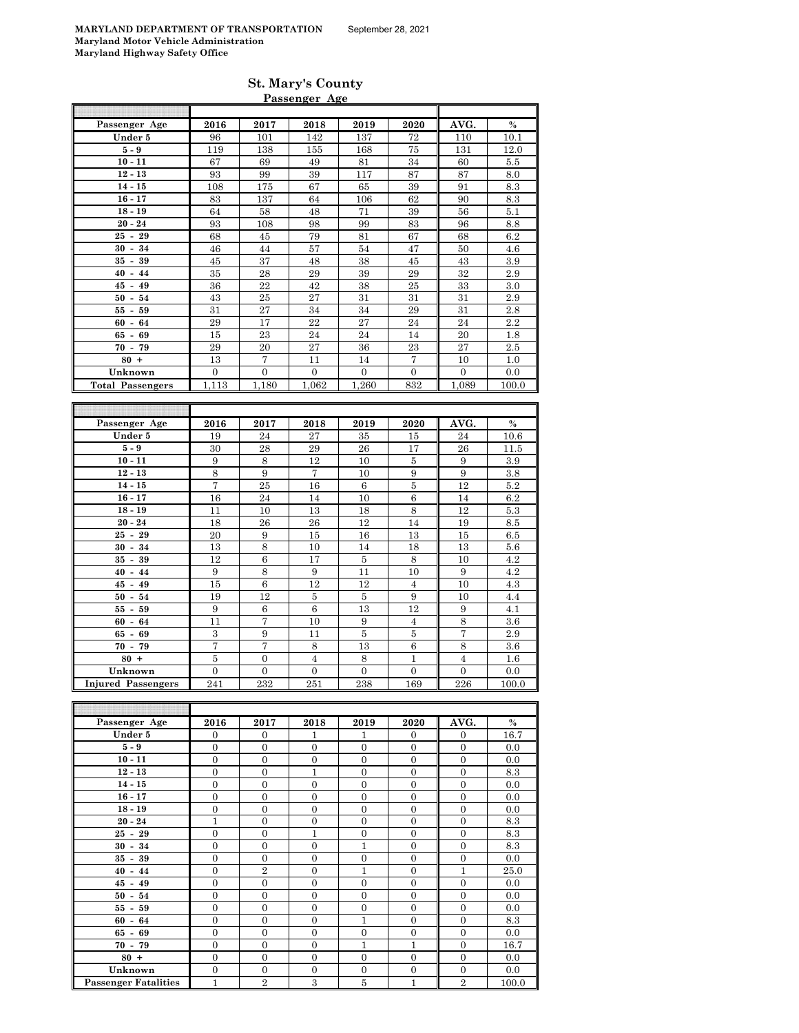| <b>St. Mary's County</b> |  |
|--------------------------|--|
| Passenger Age            |  |

| Passenger Age             | 2016             | 2017              | 2018             | 2019             | 2020               | AVG.                         | $\%$          |
|---------------------------|------------------|-------------------|------------------|------------------|--------------------|------------------------------|---------------|
| Under 5                   | 96               | 101               | 142              | 137              | 72                 | 110                          | 10.1          |
| $5-9$                     | 119              | 138               | 155              | 168              | 75                 | 131                          | 12.0          |
| $10 - 11$                 | 67               | 69                | 49               | 81               | 34                 | 60                           | 5.5           |
| $12 - 13$                 | 93               | 99                | 39               | 117              | 87                 | 87                           | 8.0           |
| $14 - 15$                 | 108              | 175               | 67               | 65               | 39                 | 91                           | 8.3           |
| $16 - 17$                 | 83               | 137               | 64               | 106              | 62                 | 90                           | 8.3           |
| $18 - 19$                 | 64               | 58                | 48               | 71               | 39                 | 56                           | 5.1           |
| $20 - 24$                 | 93               | 108               | 98               | 99               | 83                 | 96                           | 8.8           |
| $25 - 29$                 | 68               | 45                | 79               | 81               | 67                 | 68                           | 6.2           |
| $30 - 34$                 | 46               | 44                | 57               | 54               | 47                 | 50                           | 4.6           |
| $35 - 39$                 | 45               | 37                | 48               | 38               | 45                 | 43                           | 3.9           |
| $40 - 44$                 | 35               | 28                | 29               | 39               | 29                 | 32                           | 2.9           |
| $45 - 49$                 | 36               | 22                | 42               | 38               | 25                 | 33                           | $3.0\,$       |
| $50 - 54$                 | 43               | 25                | $\sqrt{27}$      | 31               | 31                 | 31                           | 2.9           |
| $55 - 59$                 | 31               | 27                | 34               | 34               | 29                 | 31                           | 2.8           |
| $60 -$<br>64              | 29               | 17                | 22               | 27               | 24                 | 24                           | 2.2           |
| $65 - 69$                 | 15               | 23                | 24               | 24               | 14                 | 20                           | 1.8           |
| $70 - 79$                 | 29               | 20                | 27               | 36               | 23                 | 27                           | 2.5           |
| $80 +$                    | 13               | 7                 | 11               | 14               | $\overline{7}$     | 10                           | 1.0           |
| Unknown                   | $\boldsymbol{0}$ | $\boldsymbol{0}$  | $\boldsymbol{0}$ | $\mathbf{0}$     | $\boldsymbol{0}$   | $\boldsymbol{0}$             | 0.0           |
| <b>Total Passengers</b>   | 1,113            | 1,180             | 1,062            | 1,260            | 832                | 1,089                        | 100.0         |
|                           |                  |                   |                  |                  |                    |                              |               |
|                           |                  |                   |                  |                  |                    |                              |               |
| Passenger Age             | 2016             | 2017              | 2018             | 2019             | 2020               | AVG.                         | $\frac{0}{0}$ |
|                           |                  |                   |                  |                  |                    |                              |               |
|                           |                  |                   |                  |                  |                    |                              |               |
| Under 5                   | 19               | 24                | 27               | 35               | 15                 | 24                           | 10.6          |
| $5-9$                     | 30               | 28                | 29               | 26               | 17                 | 26                           | $11.5\,$      |
| $10 - 11$                 | 9                | 8                 | 12               | 10               | $\bf 5$            | 9                            | 3.9           |
| $12 - 13$                 | 8                | 9                 | $\overline{7}$   | 10               | 9                  | 9                            | 3.8           |
| $14 - 15$                 | 7                | 25                | 16               | 6                | $\overline{5}$     | 12                           | 5.2           |
| $16 - 17$                 | 16               | 24                | 14               | 10               | 6                  | 14                           | 6.2           |
| $18 - 19$                 | 11               | 10                | 13               | 18               | $\overline{\bf 8}$ | 12                           | $5.3\,$       |
| $20 - 24$                 | 18               | 26                | 26               | 12               | 14                 | 19                           | 8.5           |
| $25 - 29$                 | 20               | 9                 | 15               | 16               | 13                 | 15                           | 6.5           |
| $30 - 34$                 | 13               | 8                 | 10               | 14               | 18                 | 13                           | $5.6\,$       |
| 39<br>$35 -$              | 12               | $\,6$             | 17               | 5                | 8                  | 10                           | 4.2           |
| $40 -$<br>44              | 9                | $\,$ 8 $\,$       | 9                | 11               | 10                 | 9                            | $4.2\,$       |
| $45 - 49$                 | 15               | $\boldsymbol{6}$  | 12               | 12               | $\overline{4}$     | 10                           | $4.3\,$       |
| 54<br>$50 -$              | 19               | 12                | $\bf 5$          | 5                | 9                  | 10                           | 4.4           |
| $55-$<br>59               | 9                | 6                 | 6                | 13               | 12                 | 9                            | 4.1           |
| 64<br>$60 -$              | 11               | $\scriptstyle{7}$ | 10               | $\boldsymbol{9}$ | $\overline{4}$     | $\,8\,$                      | 3.6           |
| 69<br>$65 -$              | $\,3$            | 9                 | 11               | 5                | $\bf 5$            | 7                            | 2.9           |
| $70 - 79$                 | 7                | 7                 | 8                | 13               | $\,6$              | 8                            | $3.6\,$       |
| $80 +$                    | 5                | $\overline{0}$    | 4                | 8                | $\mathbf{1}$       | $\overline{4}$               | $1.6\,$       |
| Unknown                   | $\boldsymbol{0}$ | $\boldsymbol{0}$  | $\boldsymbol{0}$ | $\boldsymbol{0}$ | $\mathbf{0}$       | $\mathbf{0}$                 | 0.0           |
| <b>Injured Passengers</b> | 241              | 232               | 251              | 238              | 169                | 226                          | 100.0         |
|                           |                  |                   |                  |                  |                    |                              |               |
| Passangar Aga             | 901 G            | 9017              | 9018             | 9019             | 2020               | $\mathbf{I}$<br>$\Delta VCL$ | 0/2           |

| Passenger Age               | 2016           | 2017           | 2018           | 2019         | 2020           | AVG.           | $\%$  |
|-----------------------------|----------------|----------------|----------------|--------------|----------------|----------------|-------|
| Under 5                     | $\overline{0}$ | $\mathbf{0}$   | 1              | 1            | $\mathbf{0}$   | $\mathbf{0}$   | 16.7  |
| $5-9$                       | $\overline{0}$ | $\mathbf{0}$   | $\overline{0}$ | $\mathbf{0}$ | $\overline{0}$ | $\mathbf{0}$   | 0.0   |
| $10 - 11$                   | $\overline{0}$ | $\mathbf{0}$   | $\mathbf{0}$   | $\mathbf{0}$ | $\mathbf{0}$   | $\overline{0}$ | 0.0   |
| $12 - 13$                   | $\overline{0}$ | $\mathbf{0}$   | $\mathbf{1}$   | $\Omega$     | $\overline{0}$ | $\Omega$       | 8.3   |
| $14 - 15$                   | $\overline{0}$ | $\mathbf{0}$   | $\Omega$       | $\Omega$     | $\Omega$       | $\Omega$       | 0.0   |
| $16 - 17$                   | $\overline{0}$ | $\mathbf{0}$   | $\mathbf{0}$   | $\mathbf{0}$ | $\mathbf{0}$   | $\Omega$       | 0.0   |
| $18 - 19$                   | $\overline{0}$ | $\Omega$       | $\Omega$       | $\Omega$     | $\Omega$       | $\Omega$       | 0.0   |
| $20 - 24$                   | 1              | $\mathbf{0}$   | $\overline{0}$ | $\mathbf{0}$ | $\overline{0}$ | $\Omega$       | 8.3   |
| $25 - 29$                   | $\overline{0}$ | $\mathbf{0}$   | $\mathbf{1}$   | $\mathbf{0}$ | $\mathbf{0}$   | $\mathbf{0}$   | 8.3   |
| $30 - 34$                   | $\overline{0}$ | $\mathbf{0}$   | $\overline{0}$ | $\mathbf{1}$ | $\overline{0}$ | $\mathbf{0}$   | 8.3   |
| $35 - 39$                   | $\overline{0}$ | $\mathbf{0}$   | $\mathbf{0}$   | $\mathbf{0}$ | $\mathbf{0}$   | $\mathbf{0}$   | 0.0   |
| $40 - 44$                   | $\Omega$       | $\overline{2}$ | $\Omega$       | $\mathbf{1}$ | $\Omega$       | 1              | 25.0  |
| $45 - 49$                   | $\overline{0}$ | $\mathbf{0}$   | $\Omega$       | $\Omega$     | $\Omega$       | $\Omega$       | 0.0   |
| $50 - 54$                   | $\overline{0}$ | $\mathbf{0}$   | $\mathbf{0}$   | $\mathbf{0}$ | $\mathbf{0}$   | $\mathbf{0}$   | 0.0   |
| $55 - 59$                   | $\overline{0}$ | $\mathbf{0}$   | $\overline{0}$ | $\mathbf{0}$ | $\overline{0}$ | $\Omega$       | 0.0   |
| $60 - 64$                   | $\overline{0}$ | $\mathbf{0}$   | $\overline{0}$ | 1            | $\mathbf{0}$   | $\Omega$       | 8.3   |
| $65 - 69$                   | $\overline{0}$ | $\mathbf{0}$   | $\mathbf{0}$   | $\mathbf{0}$ | $\mathbf{0}$   | $\mathbf{0}$   | 0.0   |
| $70 - 79$                   | $\overline{0}$ | $\mathbf{0}$   | $\overline{0}$ | 1            | 1              | $\mathbf{0}$   | 16.7  |
| $80 +$                      | $\overline{0}$ | $\mathbf{0}$   | $\overline{0}$ | $\mathbf{0}$ | $\Omega$       | $\Omega$       | 0.0   |
| Unknown                     | $\overline{0}$ | $\mathbf{0}$   | $\Omega$       | $\mathbf{0}$ | $\overline{0}$ | $\Omega$       | 0.0   |
| <b>Passenger Fatalities</b> | 1              | $\overline{2}$ | 3              | 5            | 1              | $\overline{2}$ | 100.0 |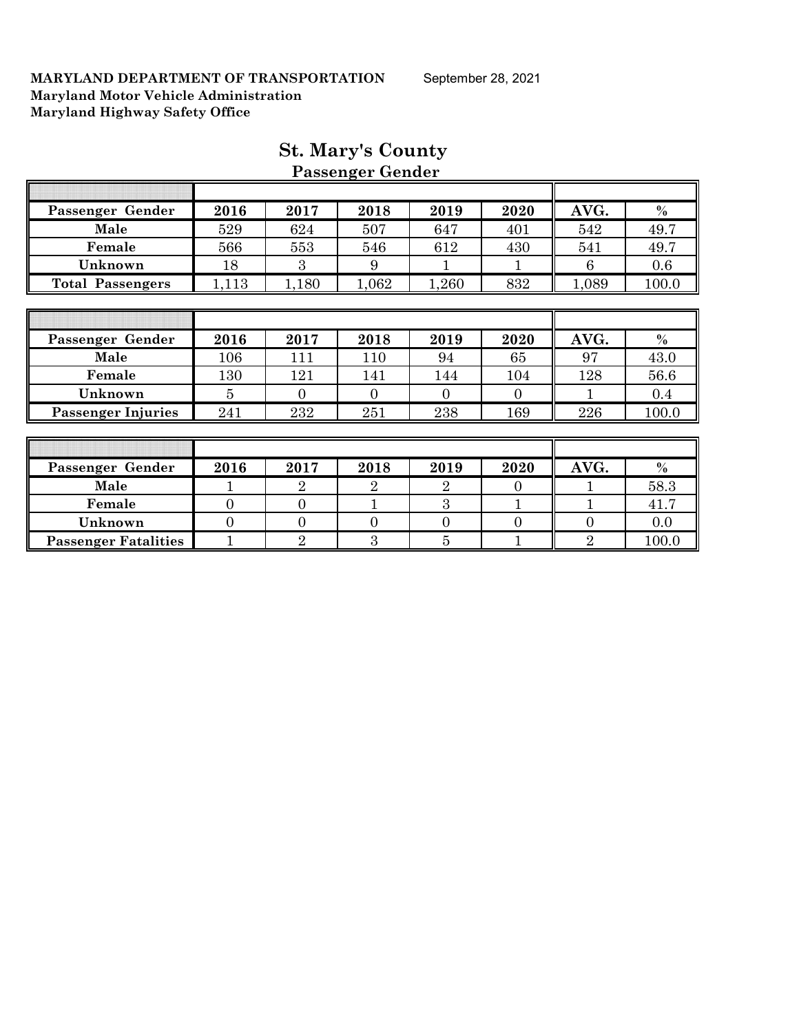| Passenger Gender            | 2016           | 2017           | 2018           | 2019           | 2020           | AVG.           | $\%$    |
|-----------------------------|----------------|----------------|----------------|----------------|----------------|----------------|---------|
| Male                        | 529            | 624            | 507            | 647            | 401            | 542            | 49.7    |
| Female                      | 566            | 553            | 546            | 612            | 430            | 541            | 49.7    |
| Unknown                     | 18             | 3              | 9              |                |                | 6              | 0.6     |
| <b>Total Passengers</b>     | 1,113          | 1,180          | 1,062          | 1,260          | 832            | 1,089          | 100.0   |
|                             |                |                |                |                |                |                |         |
|                             |                |                |                |                |                |                |         |
| Passenger Gender            | 2016           | 2017           | 2018           | 2019           | 2020           | AVG.           | $\%$    |
| Male                        | 106            | 111            | 110            | 94             | 65             | 97             | 43.0    |
| Female                      | 130            | 121            | 141            | 144            | 104            | 128            | 56.6    |
| Unknown                     | 5              | $\theta$       | $\theta$       | $\overline{0}$ | $\overline{0}$ |                | $0.4\,$ |
| <b>Passenger Injuries</b>   | 241            | 232            | 251            | 238            | 169            | 226            | 100.0   |
|                             |                |                |                |                |                |                |         |
|                             |                |                |                |                |                |                |         |
| Passenger Gender            | 2016           | 2017           | 2018           | 2019           | 2020           | AVG.           | $\%$    |
| Male                        |                | $\overline{2}$ | $\overline{2}$ | $\overline{2}$ | $\overline{0}$ |                | 58.3    |
| Female                      | $\overline{0}$ | $\Omega$       | $\mathbf{1}$   | 3              | 1              |                | 41.7    |
| Unknown                     | $\overline{0}$ | $\Omega$       | $\theta$       | $\overline{0}$ | $\overline{0}$ | $\overline{0}$ | 0.0     |
| <b>Passenger Fatalities</b> |                | $\overline{2}$ | 3              | $\overline{5}$ |                | $\overline{2}$ | 100.0   |

### **St. Mary's County Passenger Gender**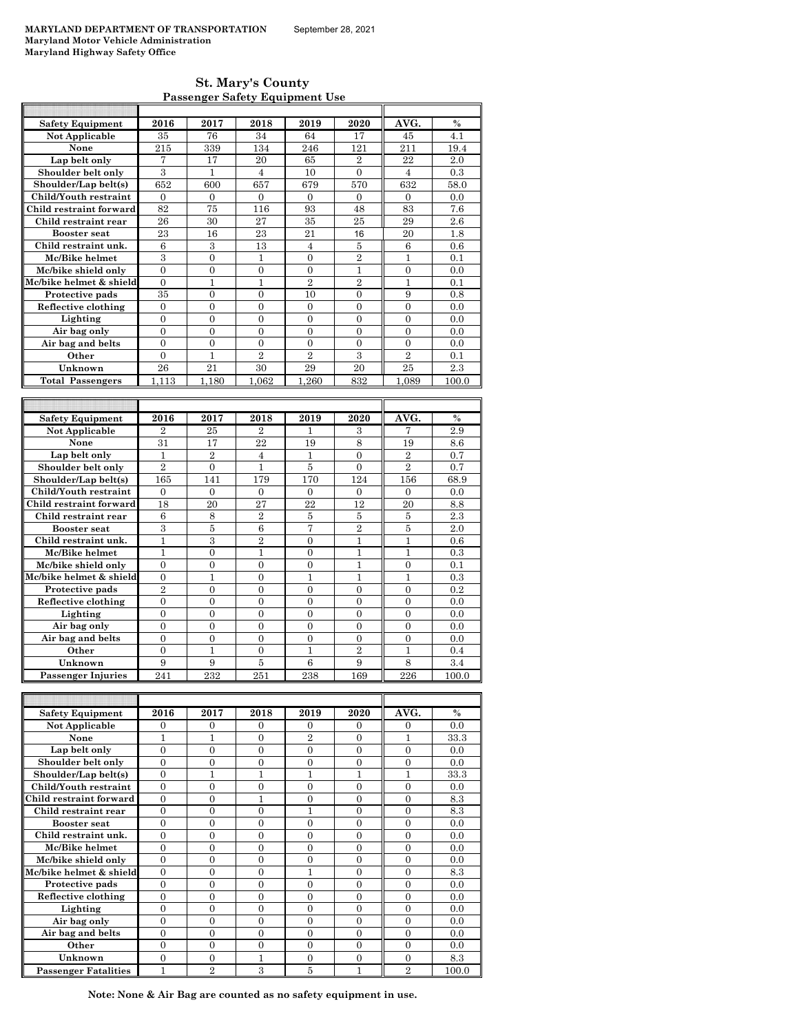| <b>St. Mary's County</b>              |
|---------------------------------------|
| <b>Passenger Safety Equipment Use</b> |

| <b>Safety Equipment</b>   | 2016           | 2017           | 2018           | 2019           | 2020             | AVG.             | $\frac{0}{0}$ |
|---------------------------|----------------|----------------|----------------|----------------|------------------|------------------|---------------|
| <b>Not Applicable</b>     | 35             | 76             | 34             | 64             | 17               | 45               | 4.1           |
| None                      | 215            | 339            | 134            | 246            | 121              | 211              | 19.4          |
| Lap belt only             | $\overline{7}$ | 17             | 20             | 65             | $\overline{2}$   | 22               | 2.0           |
| Shoulder belt only        | $\,3\,$        | $\mathbf{1}$   | $\overline{4}$ | 10             | $\boldsymbol{0}$ | $\overline{4}$   | 0.3           |
| Shoulder/Lap belt(s)      | 652            | 600            | 657            | 679            | 570              | 632              | 58.0          |
| Child/Youth restraint     | $\mathbf{0}$   | $\mathbf{0}$   | $\overline{0}$ | $\mathbf{0}$   | $\mathbf{0}$     | $\mathbf{0}$     | 0.0           |
| Child restraint forward   | 82             | 75             | 116            | 93             | 48               | 83               | 7.6           |
| Child restraint rear      | 26             | 30             | $\sqrt{27}$    | 35             | 25               | 29               | 2.6           |
| <b>Booster seat</b>       | 23             | 16             | 23             | 21             | 16               | 20               | 1.8           |
| Child restraint unk.      | 6              | 3              | 13             | $\overline{4}$ | 5                | $\boldsymbol{6}$ | 0.6           |
| Mc/Bike helmet            | 3              | $\overline{0}$ | $\mathbf{1}$   | $\overline{0}$ | $\overline{2}$   | $\mathbf{1}$     | 0.1           |
| Mc/bike shield only       | $\overline{0}$ | $\overline{0}$ | $\overline{0}$ | $\mathbf{0}$   | 1                | $\overline{0}$   | 0.0           |
| Mc/bike helmet & shield   | $\overline{0}$ | 1              | 1              | $\overline{2}$ | $\overline{2}$   | 1                | 0.1           |
| Protective pads           | 35             | $\overline{0}$ | $\overline{0}$ | 10             | $\overline{0}$   | 9                | 0.8           |
| Reflective clothing       | $\theta$       | $\theta$       | $\theta$       | $\theta$       | $\theta$         | $\theta$         | 0.0           |
| Lighting                  | $\theta$       | $\theta$       | $\theta$       | $\theta$       | $\theta$         | $\theta$         | 0.0           |
| Air bag only              | $\overline{0}$ | $\theta$       | $\theta$       | $\theta$       | $\overline{0}$   | $\theta$         | 0.0           |
| Air bag and belts         | $\theta$       | $\theta$       | $\theta$       | $\theta$       | $\theta$         | $\theta$         | 0.0           |
| Other                     | $\theta$       | $\mathbf{1}$   | $\overline{2}$ | $\overline{2}$ | 3                | $\overline{2}$   | 0.1           |
| Unknown                   | 26             | 21             | 30             | 29             | 20               | 25               | 2.3           |
| <b>Total Passengers</b>   | 1,113          | 1,180          | 1,062          | 1,260          | 832              | 1,089            | 100.0         |
|                           |                |                |                |                |                  |                  |               |
|                           |                |                |                |                |                  |                  |               |
|                           |                |                |                |                |                  |                  |               |
| <b>Safety Equipment</b>   | 2016           | 2017           | 2018           | 2019           | 2020             | AVG.             | $\frac{0}{0}$ |
| Not Applicable            | $\overline{2}$ | 25             | $\overline{2}$ | 1              | 3                | 7                | 2.9           |
| None                      | 31             | 17             | 22             | 19             | 8                | 19               | 8.6           |
| Lap belt only             | 1              | $\overline{2}$ | 4              | $\mathbf{1}$   | $\mathbf{0}$     | $\overline{2}$   | 0.7           |
| Shoulder belt only        | $\overline{2}$ | $\overline{0}$ | $\mathbf{1}$   | 5              | $\overline{0}$   | $\overline{2}$   | 0.7           |
| Shoulder/Lap belt(s)      | 165            | 141            | 179            | 170            | 124              | 156              | 68.9          |
| Child/Youth restraint     | $\Omega$       | $\Omega$       | $\Omega$       | $\Omega$       | $\Omega$         | $\Omega$         | 0.0           |
| Child restraint forward   | 18             | 20             | 27             | 22             | 12               | 20               | 8.8           |
| Child restraint rear      | 6              | 8              | $\overline{2}$ | 5              | 5                | 5                | 2.3           |
| <b>Booster</b> seat       | 3              | 5              | 6              | $\overline{7}$ | $\overline{2}$   | 5                | 2.0           |
| Child restraint unk.      | $\mathbf{1}$   | $\overline{3}$ | $\overline{2}$ | $\theta$       | $\mathbf{1}$     | $\mathbf{1}$     | 0.6           |
| Mc/Bike helmet            | $\overline{1}$ | $\overline{0}$ | $\mathbf{1}$   | $\overline{0}$ | $\overline{1}$   | $\mathbf{1}$     | 0.3           |
| Mc/bike shield only       | $\theta$       | $\theta$       | $\theta$       | $\theta$       | 1                | $\overline{0}$   | 0.1           |
| Mc/bike helmet & shield   | 0              | $\mathbf{1}$   | $\overline{0}$ | 1              | 1                | 1                | 0.3           |
| Protective pads           | $\overline{2}$ | $\overline{0}$ | $\theta$       | $\overline{0}$ | $\overline{0}$   | $\overline{0}$   | 0.2           |
| Reflective clothing       | $\theta$       | $\theta$       | $\theta$       | $\theta$       | $\theta$         | $\theta$         | 0.0           |
| Lighting                  | $\overline{0}$ | $\theta$       | $\theta$       | $\theta$       | $\theta$         | $\theta$         | 0.0           |
| Air bag only              | $\overline{0}$ | $\overline{0}$ | $\overline{0}$ | $\overline{0}$ | $\overline{0}$   | $\overline{0}$   | 0.0           |
| Air bag and belts         | $\overline{0}$ | $\overline{0}$ | $\overline{0}$ | $\overline{0}$ | $\mathbf{0}$     | $\overline{0}$   | 0.0           |
| Other                     | $\overline{0}$ | $\mathbf{1}$   | $\overline{0}$ | $\mathbf{1}$   | $\overline{2}$   | $\mathbf{1}$     | 0.4           |
| Unknown                   | 9              | 9              | 5              | 6              | 9                | 8                | 3.4           |
| <b>Passenger Injuries</b> | 241            | 232            | 251            | 238            | 169              | 226              | 100.0         |
|                           |                |                |                |                |                  |                  |               |

| <b>Safety Equipment</b>     | 2016     | 2017           | 2018     | 2019           | 2020     | AVG.           | $\frac{0}{0}$ |
|-----------------------------|----------|----------------|----------|----------------|----------|----------------|---------------|
| Not Applicable              | 0        | $\Omega$       | $\Omega$ | $\Omega$       | $\Omega$ | $\Omega$       | 0.0           |
| None                        |          |                | 0        | $\mathfrak{D}$ | $\Omega$ |                | 33.3          |
| Lap belt only               | 0        | $\Omega$       | $\Omega$ | $\Omega$       | $\Omega$ | $\Omega$       | 0.0           |
| Shoulder belt only          | $\Omega$ | $\Omega$       | $\Omega$ | $\Omega$       | $\Omega$ | $\Omega$       | 0.0           |
| Shoulder/Lap belt(s)        | 0        |                |          |                |          |                | 33.3          |
| Child/Youth restraint       | $\Omega$ | $\Omega$       | $\Omega$ | $\Omega$       | $\Omega$ | $\Omega$       | 0.0           |
| Child restraint forward     | $\theta$ | $\Omega$       |          | $\Omega$       | $\Omega$ | $\Omega$       | 8.3           |
| Child restraint rear        | 0        | 0              | $\theta$ |                | $\Omega$ | $\theta$       | 8.3           |
| <b>Booster</b> seat         | 0        | $\Omega$       | $\Omega$ | $\Omega$       | $\Omega$ | $\Omega$       | 0.0           |
| Child restraint unk.        | $\Omega$ | $\Omega$       | $\Omega$ | $\Omega$       | $\Omega$ | $\Omega$       | 0.0           |
| Mc/Bike helmet              | $\theta$ | $\Omega$       | $\theta$ | $\theta$       | $\Omega$ | $\Omega$       | 0.0           |
| Mc/bike shield only         | $\theta$ | $\Omega$       | $\Omega$ | $\Omega$       | $\Omega$ | $\Omega$       | 0.0           |
| Mc/bike helmet & shield     | $\Omega$ | $\Omega$       | $\Omega$ | 1              | $\Omega$ | $\Omega$       | 8.3           |
| Protective pads             | 0        | 0              | 0        | $\theta$       | $\Omega$ | $\Omega$       | 0.0           |
| Reflective clothing         | 0        | $\Omega$       | $\Omega$ | $\Omega$       | $\Omega$ | $\Omega$       | 0.0           |
| Lighting                    | $\Omega$ | $\Omega$       | $\Omega$ | $\Omega$       | $\Omega$ | $\Omega$       | 0.0           |
| Air bag only                | 0        | 0              | 0        | $\theta$       | $\Omega$ | $\Omega$       | 0.0           |
| Air bag and belts           | 0        | $\Omega$       | $\Omega$ | $\Omega$       | $\Omega$ | $\Omega$       | 0.0           |
| Other                       | $\theta$ | $\Omega$       | $\Omega$ | $\Omega$       | $\Omega$ | $\Omega$       | 0.0           |
| Unknown                     | 0        | $\Omega$       |          | $\theta$       | $\Omega$ | $\Omega$       | 8.3           |
| <b>Passenger Fatalities</b> |          | $\overline{2}$ | 3        | 5              |          | $\overline{2}$ | 100.0         |

**Note: None & Air Bag are counted as no safety equipment in use.**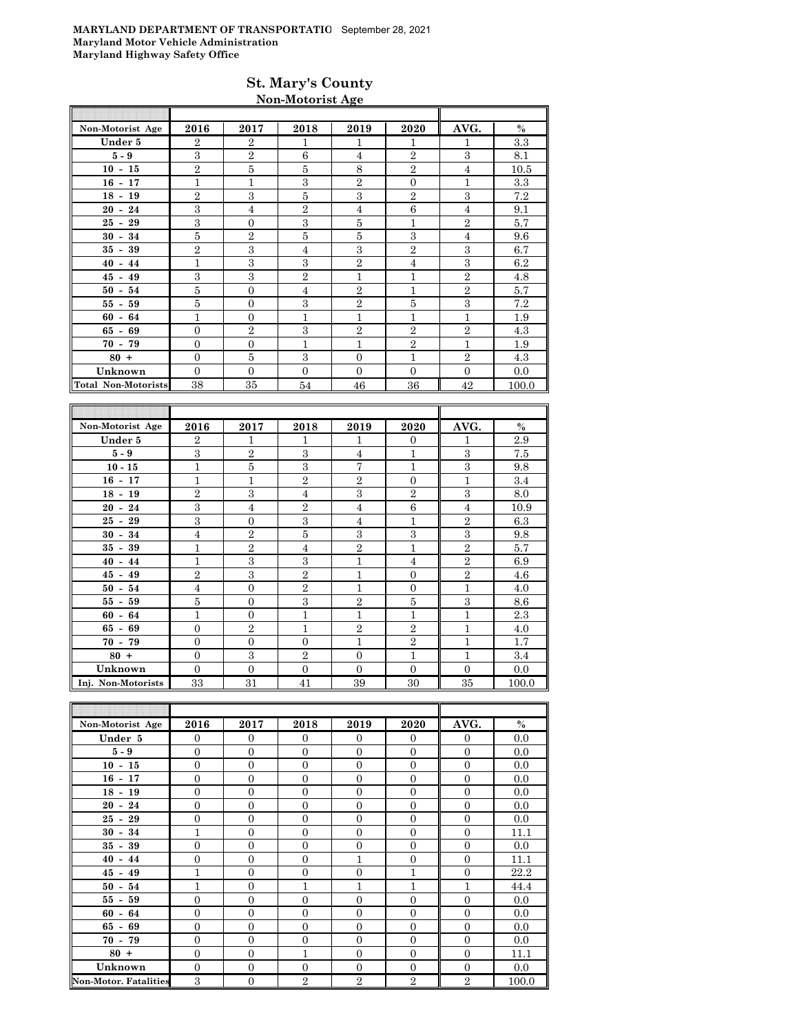### **St. Mary's County Non-Motorist Age**

| Non-Motorist Age           | 2016           | 2017           | 2018           | 2019           | 2020           | AVG.           | $\%$  |
|----------------------------|----------------|----------------|----------------|----------------|----------------|----------------|-------|
| Under 5                    | $\overline{2}$ | $\overline{2}$ | 1              | 1              | 1              | 1              | 3.3   |
| $5-9$                      | 3              | $\overline{2}$ | 6              | $\overline{4}$ | $\overline{2}$ | 3              | 8.1   |
| $10 - 15$                  | $\overline{2}$ | 5              | 5              | 8              | $\overline{2}$ | 4              | 10.5  |
| $16 - 17$                  | 1              | $\mathbf{1}$   | 3              | $\overline{2}$ | $\theta$       | 1              | 3.3   |
| $18 - 19$                  | $\overline{2}$ | 3              | 5              | 3              | $\overline{2}$ | 3              | 7.2   |
| $20 - 24$                  | 3              | $\overline{4}$ | $\overline{2}$ | $\overline{4}$ | 6              | 4              | 9.1   |
| $25 - 29$                  | 3              | $\overline{0}$ | 3              | 5              | 1              | $\overline{2}$ | 5.7   |
| $30 - 34$                  | 5              | $\overline{2}$ | 5              | 5              | 3              | 4              | 9.6   |
| $35 - 39$                  | $\overline{2}$ | 3              | $\overline{4}$ | 3              | $\overline{2}$ | 3              | 6.7   |
| $40 - 44$                  | $\mathbf 1$    | 3              | 3              | $\overline{2}$ | $\overline{4}$ | 3              | 6.2   |
| $45 - 49$                  | 3              | 3              | $\overline{2}$ | 1              | 1              | $\overline{2}$ | 4.8   |
| $50 - 54$                  | 5              | $\mathbf{0}$   | $\overline{4}$ | $\overline{2}$ | 1              | $\overline{2}$ | 5.7   |
| $55 - 59$                  | 5              | $\mathbf{0}$   | 3              | $\overline{2}$ | 5              | 3              | 7.2   |
| $60 - 64$                  | $\mathbf{1}$   | $\mathbf{0}$   | 1              | 1              | $\overline{1}$ | 1              | 1.9   |
| $65 - 69$                  | $\mathbf{0}$   | $\overline{2}$ | 3              | $\overline{2}$ | $\overline{2}$ | $\overline{2}$ | 4.3   |
| $70 - 79$                  | $\mathbf{0}$   | $\overline{0}$ | 1              | 1              | $\overline{2}$ | 1              | 1.9   |
| $80 +$                     | $\mathbf{0}$   | 5              | 3              | $\mathbf{0}$   | 1              | $\overline{2}$ | 4.3   |
| Unknown                    | $\Omega$       | $\Omega$       | $\Omega$       | $\Omega$       | $\Omega$       | $\Omega$       | 0.0   |
| <b>Total Non-Motorists</b> | 38             | 35             | 54             | 46             | 36             | 42             | 100.0 |

| Non-Motorist Age   | 2016           | 2017           | 2018           | 2019           | 2020           | AVG.           | $\%$  |
|--------------------|----------------|----------------|----------------|----------------|----------------|----------------|-------|
| Under 5            | $\overline{2}$ | $\mathbf{1}$   | 1              | 1              | $\theta$       | $\mathbf{1}$   | 2.9   |
| $5 - 9$            | 3              | $\overline{2}$ | 3              | $\overline{4}$ | $\mathbf{1}$   | 3              | 7.5   |
| $10 - 15$          | $\mathbf{1}$   | 5              | 3              | 7              | $\mathbf{1}$   | 3              | 9.8   |
| $16 - 17$          | $\overline{1}$ | $\mathbf{1}$   | $\overline{2}$ | $\overline{2}$ | $\overline{0}$ | $\mathbf{1}$   | 3.4   |
| $18 - 19$          | $\overline{2}$ | 3              | 4              | 3              | $\overline{2}$ | 3              | 8.0   |
| $20 - 24$          | 3              | $\overline{4}$ | $\overline{2}$ | $\overline{4}$ | 6              | $\overline{4}$ | 10.9  |
| $25 - 29$          | 3              | $\theta$       | 3              | $\overline{4}$ | $\mathbf{1}$   | $\overline{2}$ | 6.3   |
| $30 - 34$          | $\overline{4}$ | $\overline{2}$ | 5              | 3              | 3              | 3              | 9.8   |
| $35 -$<br>39       | $\overline{1}$ | $\overline{2}$ | 4              | $\overline{2}$ | $\mathbf{1}$   | $\overline{2}$ | 5.7   |
| $40 - 44$          | $\overline{1}$ | 3              | 3              | $\mathbf{1}$   | $\overline{4}$ | $\overline{2}$ | 6.9   |
| $45 - 49$          | $\overline{2}$ | 3              | $\overline{2}$ | 1              | $\overline{0}$ | $\overline{2}$ | 4.6   |
| $50 - 54$          | $\overline{4}$ | $\overline{0}$ | $\overline{2}$ | 1              | $\overline{0}$ | $\mathbf{1}$   | 4.0   |
| $55 - 59$          | 5              | $\overline{0}$ | 3              | $\overline{2}$ | 5              | 3              | 8.6   |
| $60 - 64$          | $\mathbf{1}$   | $\theta$       | 1              | 1              | $\mathbf{1}$   | $\mathbf{1}$   | 2.3   |
| $65 - 69$          | $\overline{0}$ | $\overline{2}$ | 1              | $\overline{2}$ | $\overline{2}$ | $\overline{1}$ | 4.0   |
| $70 - 79$          | $\overline{0}$ | $\overline{0}$ | $\Omega$       | 1              | $\overline{2}$ | $\mathbf{1}$   | 1.7   |
| $80 +$             | $\Omega$       | 3              | $\overline{2}$ | $\Omega$       | $\overline{1}$ | 1              | 3.4   |
| Unknown            | $\overline{0}$ | $\overline{0}$ | $\Omega$       | $\Omega$       | $\overline{0}$ | $\Omega$       | 0.0   |
| Inj. Non-Motorists | 33             | 31             | 41             | 39             | 30             | 35             | 100.0 |

| Non-Motorist Age             | 2016           | 2017           | 2018           | 2019           | 2020           | AVG.           | $\%$  |
|------------------------------|----------------|----------------|----------------|----------------|----------------|----------------|-------|
| Under 5                      | $\mathbf{0}$   | $\theta$       | $\mathbf{0}$   | $\mathbf{0}$   | $\overline{0}$ | $\mathbf{0}$   | 0.0   |
| $5 - 9$                      | $\overline{0}$ | $\overline{0}$ | $\Omega$       | $\theta$       | $\mathbf{0}$   | $\Omega$       | 0.0   |
| $10 - 15$                    | $\overline{0}$ | $\overline{0}$ | $\overline{0}$ | $\overline{0}$ | $\overline{0}$ | $\mathbf{0}$   | 0.0   |
| $16 - 17$                    | $\overline{0}$ | $\overline{0}$ | $\Omega$       | $\Omega$       | $\mathbf{0}$   | $\Omega$       | 0.0   |
| $18 - 19$                    | $\overline{0}$ | $\overline{0}$ | $\Omega$       | $\Omega$       | $\theta$       | $\Omega$       | 0.0   |
| $20 - 24$                    | $\overline{0}$ | $\overline{0}$ | $\overline{0}$ | $\Omega$       | $\overline{0}$ | $\overline{0}$ | 0.0   |
| $25 - 29$                    | $\Omega$       | $\overline{0}$ | $\Omega$       | $\Omega$       | $\mathbf{0}$   | $\Omega$       | 0.0   |
| $30 - 34$                    | 1              | $\overline{0}$ | $\overline{0}$ | $\overline{0}$ | $\mathbf{0}$   | $\overline{0}$ | 11.1  |
| $35 - 39$                    | $\overline{0}$ | $\overline{0}$ | $\overline{0}$ | $\overline{0}$ | $\mathbf{0}$   | $\mathbf{0}$   | 0.0   |
| $40 - 44$                    | $\overline{0}$ | $\overline{0}$ | $\overline{0}$ | $\mathbf{1}$   | $\overline{0}$ | $\overline{0}$ | 11.1  |
| $45 - 49$                    | $\mathbf{1}$   | $\overline{0}$ | $\Omega$       | $\theta$       | $\overline{1}$ | $\overline{0}$ | 22.2  |
| $50 - 54$                    | 1              | $\overline{0}$ | 1              | $\mathbf{1}$   | 1              | 1              | 44.4  |
| $55 - 59$                    | $\overline{0}$ | $\overline{0}$ | $\Omega$       | $\Omega$       | $\overline{0}$ | $\Omega$       | 0.0   |
| $60 -$<br>64                 | $\mathbf{0}$   | $\overline{0}$ | $\overline{0}$ | $\overline{0}$ | $\mathbf{0}$   | $\mathbf{0}$   | 0.0   |
| $65 - 69$                    | $\overline{0}$ | $\overline{0}$ | $\overline{0}$ | $\Omega$       | $\theta$       | $\overline{0}$ | 0.0   |
| $70 - 79$                    | $\overline{0}$ | $\overline{0}$ | $\overline{0}$ | $\overline{0}$ | $\mathbf{0}$   | $\mathbf{0}$   | 0.0   |
| $80 +$                       | $\overline{0}$ | $\overline{0}$ | $\mathbf{1}$   | $\overline{0}$ | $\theta$       | $\overline{0}$ | 11.1  |
| Unknown                      | $\Omega$       | $\overline{0}$ | $\theta$       | $\Omega$       | $\overline{0}$ | $\Omega$       | 0.0   |
| <b>Non-Motor, Fatalities</b> | 3              | $\overline{0}$ | $\overline{2}$ | $\overline{2}$ | $\overline{2}$ | $\overline{2}$ | 100.0 |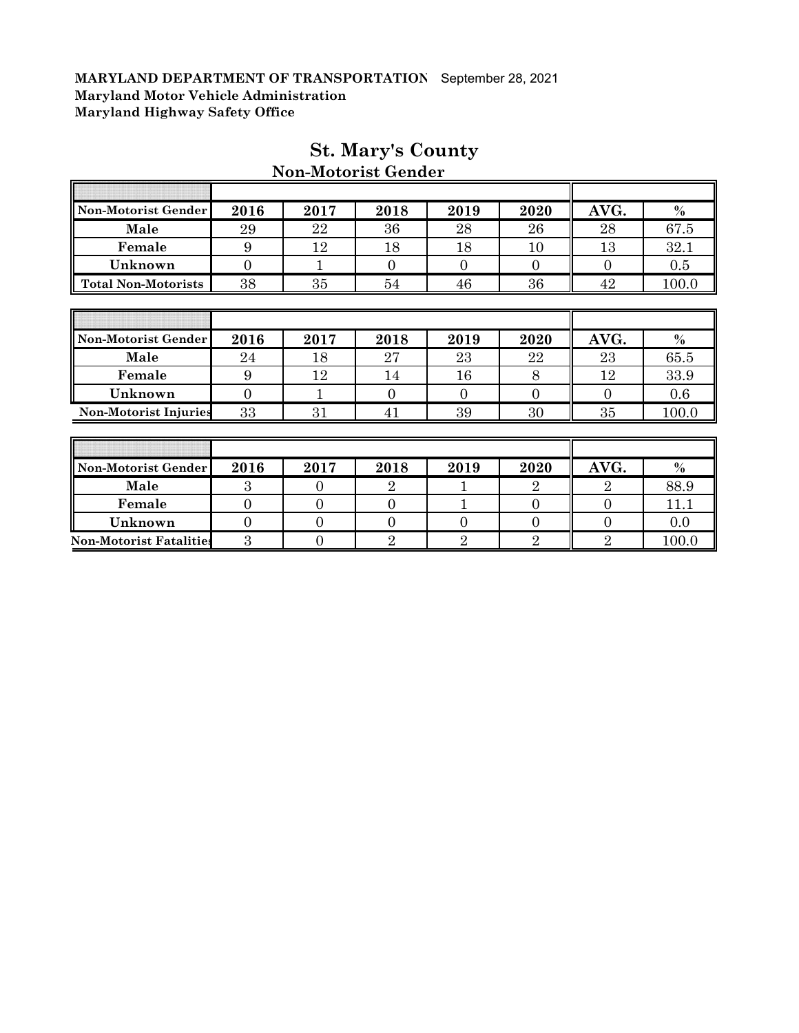F

| Non-Motorist Gender            | 2016           | 2017           | 2018           | 2019     | 2020           | AVG.           | $\%$          |
|--------------------------------|----------------|----------------|----------------|----------|----------------|----------------|---------------|
| Male                           | 29             | 22             | 36             | 28       | 26             | 28             | 67.5          |
| Female                         | 9              | 12             | 18             | 18       | 10             | 13             | 32.1          |
| Unknown                        | $\overline{0}$ | 1              | $\Omega$       | $\Omega$ | $\Omega$       | $\Omega$       | 0.5           |
| <b>Total Non-Motorists</b>     | 38             | 35             | 54             | 46       | 36             | 42             | 100.0         |
|                                |                |                |                |          |                |                |               |
|                                |                |                |                |          |                |                |               |
| Non-Motorist Gender            | 2016           | 2017           | 2018           | 2019     | 2020           | AVG.           | $\%$          |
| Male                           | 24             | 18             | 27             | 23       | 22             | 23             | 65.5          |
| Female                         | 9              | 12             | 14             | 16       | 8              | 12             | 33.9          |
| Unknown                        | $\overline{0}$ | 1              | $\theta$       | $\Omega$ | $\overline{0}$ | $\overline{0}$ | 0.6           |
| <b>Non-Motorist Injuries</b>   | 33             | 31             | 41             | 39       | 30             | 35             | 100.0         |
|                                |                |                |                |          |                |                |               |
|                                |                |                |                |          |                |                |               |
| Non-Motorist Gender            | 2016           | 2017           | 2018           | 2019     | 2020           | AVG.           | $\frac{0}{0}$ |
| Male                           | 3              | $\Omega$       | $\overline{2}$ |          | $\overline{2}$ | $\overline{2}$ | 88.9          |
| Female                         | $\overline{0}$ | $\Omega$       | $\overline{0}$ |          | $\overline{0}$ | $\overline{0}$ | 11.1          |
| Unknown                        | $\overline{0}$ | $\overline{0}$ | 0              | $\Omega$ | $\overline{0}$ | $\overline{0}$ | 0.0           |
| <b>Non-Motorist Fatalities</b> | 3              | $\overline{0}$ | $\overline{2}$ | $\rm{2}$ | 2              | $\overline{2}$ | 100.0         |

## **St. Mary's County**

T

╗

**Non-Motorist Gender**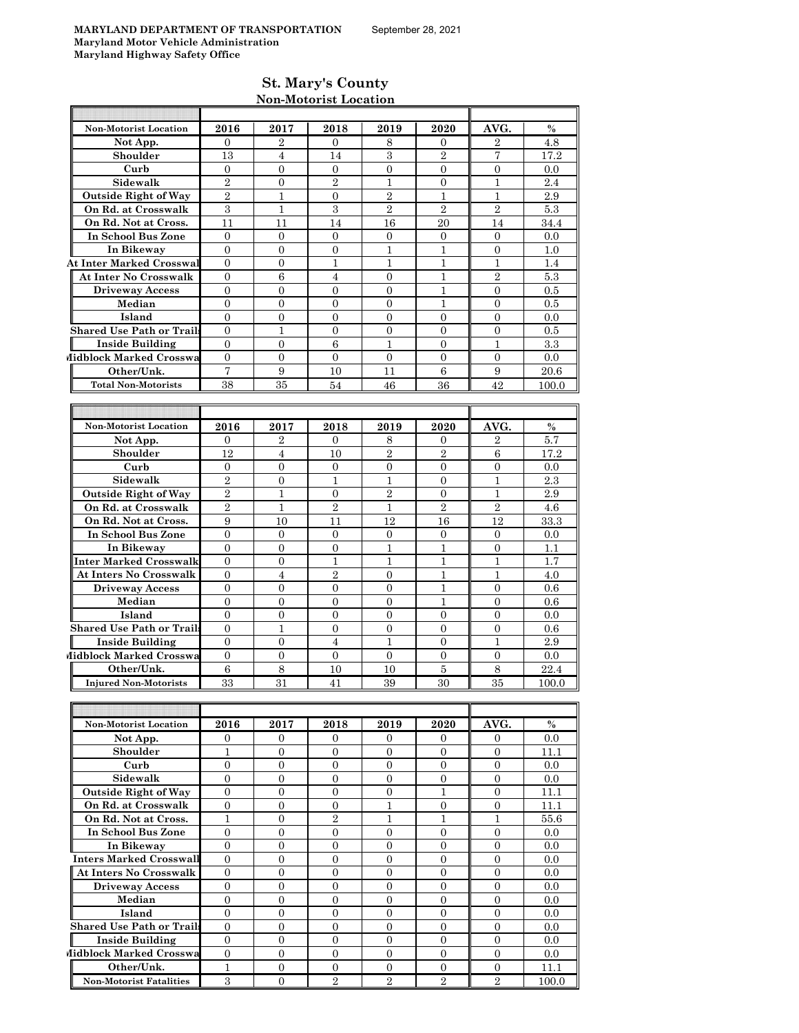#### **St. Mary's County Non-Motorist Location**

|                                          |                      |                        |                        |                  |                  |                        | $\%$    |
|------------------------------------------|----------------------|------------------------|------------------------|------------------|------------------|------------------------|---------|
| <b>Non-Motorist Location</b><br>Not App. | 2016<br>$\mathbf{0}$ | 2017<br>$\overline{2}$ | 2018<br>$\overline{0}$ | 2019<br>8        | 2020<br>0        | AVG.<br>$\overline{2}$ | 4.8     |
| Shoulder                                 | 13                   | $\overline{4}$         | 14                     | 3                | $\overline{2}$   | 7                      | 17.2    |
| Curb                                     | $\overline{0}$       | $\overline{0}$         | $\mathbf{0}$           | $\overline{0}$   | $\overline{0}$   | $\overline{0}$         | 0.0     |
| Sidewalk                                 | $\overline{2}$       | $\overline{0}$         | $\overline{2}$         | $\mathbf{1}$     | $\overline{0}$   | $\mathbf{1}$           | 2.4     |
| <b>Outside Right of Way</b>              | $\overline{2}$       | $\mathbf{1}$           | $\overline{0}$         | $\overline{2}$   | $\mathbf{1}$     | $\mathbf{1}$           | 2.9     |
| On Rd. at Crosswalk                      | $\,3$                | $\mathbf{1}$           | 3                      | $\overline{2}$   | $\overline{2}$   | $\overline{2}$         | 5.3     |
| On Rd. Not at Cross.                     | 11                   | 11                     | 14                     | 16               | 20               | 14                     | 34.4    |
| In School Bus Zone                       | $\mathbf{0}$         | $\overline{0}$         | $\overline{0}$         | $\overline{0}$   | $\overline{0}$   | $\overline{0}$         | 0.0     |
| In Bikeway                               | $\overline{0}$       | $\overline{0}$         | $\overline{0}$         | $\mathbf{1}$     | $\mathbf{1}$     | $\overline{0}$         | 1.0     |
| <b>At Inter Marked Crosswal</b>          | $\overline{0}$       | $\overline{0}$         | 1                      | 1                | 1                | 1                      | 1.4     |
| <b>At Inter No Crosswalk</b>             | $\mathbf{0}$         | $\,6$                  | $\overline{4}$         | $\boldsymbol{0}$ | $\mathbf{1}$     | $\overline{2}$         | $5.3\,$ |
| <b>Driveway Access</b>                   | $\mathbf{0}$         | $\overline{0}$         | $\overline{0}$         | $\mathbf{0}$     | $\mathbf{1}$     | $\overline{0}$         | 0.5     |
| Median                                   | $\overline{0}$       | $\overline{0}$         | $\overline{0}$         | $\mathbf{0}$     | $\mathbf{1}$     | $\overline{0}$         | 0.5     |
| Island                                   | $\overline{0}$       | 0                      | $\mathbf{0}$           | $\mathbf{0}$     | 0                | $\mathbf{0}$           | 0.0     |
| <b>Shared Use Path or Trails</b>         | $\mathbf{0}$         | $\mathbf{1}$           | $\overline{0}$         | $\overline{0}$   | $\overline{0}$   | $\overline{0}$         | 0.5     |
| <b>Inside Building</b>                   | $\mathbf{0}$         | $\mathbf{0}$           | $\boldsymbol{6}$       | $\mathbf{1}$     | $\overline{0}$   | 1                      | 3.3     |
| Midblock Marked Crosswa                  | $\boldsymbol{0}$     | $\overline{0}$         | $\overline{0}$         | $\mathbf{0}$     | $\overline{0}$   | $\overline{0}$         | 0.0     |
| Other/Unk.                               | 7                    | 9                      | 10                     | 11               | 6                | 9                      | 20.6    |
| <b>Total Non-Motorists</b>               | 38                   | 35                     | 54                     | 46               | 36               | 42                     | 100.0   |
|                                          |                      |                        |                        |                  |                  |                        |         |
|                                          |                      |                        |                        |                  |                  |                        |         |
| <b>Non-Motorist Location</b>             | 2016                 | 2017                   | 2018                   | 2019             | 2020             | AVG.                   | $\%$    |
| Not App.                                 | $\theta$             | 2                      | 0                      | 8                | 0                | 2                      | 5.7     |
| Shoulder                                 | 12                   | $\overline{4}$         | 10                     | $\overline{2}$   | $\overline{2}$   | 6                      | 17.2    |
| Curb                                     | $\boldsymbol{0}$     | $\overline{0}$         | $\overline{0}$         | $\mathbf{0}$     | $\overline{0}$   | $\overline{0}$         | 0.0     |
| Sidewalk                                 | $\overline{2}$       | $\overline{0}$         | 1                      | $\mathbf{1}$     | $\overline{0}$   | 1                      | 2.3     |
| <b>Outside Right of Way</b>              | $\overline{2}$       | 1                      | $\overline{0}$         | $\overline{2}$   | $\overline{0}$   | 1                      | 2.9     |
| On Rd. at Crosswalk                      | $\overline{2}$       | $\mathbf{1}$           | $\overline{2}$         | $\mathbf{1}$     | $\overline{2}$   | $\overline{2}$         | 4.6     |
| On Rd. Not at Cross.                     | 9                    | 10                     | 11                     | 12               | 16               | 12                     | 33.3    |
| <b>In School Bus Zone</b>                | $\mathbf{0}$         | $\overline{0}$         | $\overline{0}$         | $\mathbf{0}$     | $\overline{0}$   | $\overline{0}$         | 0.0     |
| In Bikeway                               | $\overline{0}$       | $\overline{0}$         | $\overline{0}$         | $\mathbf{1}$     | $\mathbf{1}$     | $\overline{0}$         | 1.1     |
| Inter Marked Crosswalk                   | $\boldsymbol{0}$     | 0                      | $\mathbf{1}$           | 1                | 1                | 1                      | 1.7     |
| <b>At Inters No Crosswalk</b>            | $\boldsymbol{0}$     | $\overline{4}$         | $\overline{2}$         | $\mathbf{0}$     | 1                | 1                      | 4.0     |
| <b>Driveway Access</b>                   | $\overline{0}$       | $\overline{0}$         | $\overline{0}$         | $\overline{0}$   | $\mathbf{1}$     | $\overline{0}$         | 0.6     |
| Median                                   | $\mathbf{0}$         | 0                      | $\overline{0}$         | $\overline{0}$   | $\mathbf{1}$     | $\overline{0}$         | 0.6     |
| Island                                   | $\overline{0}$       | $\overline{0}$         | $\mathbf{0}$           | 0                | 0                | $\overline{0}$         | 0.0     |
| <b>Shared Use Path or Trails</b>         | $\mathbf{0}$         | 1                      | $\overline{0}$         | $\overline{0}$   | $\overline{0}$   | $\mathbf{0}$           | 0.6     |
| <b>Inside Building</b>                   | $\overline{0}$       | $\mathbf{0}$           | $\overline{4}$         | $\mathbf{1}$     | $\overline{0}$   | 1                      | 2.9     |
| Midblock Marked Crosswa                  | $\mathbf{0}$         | $\overline{0}$         | $\overline{0}$         | $\mathbf{0}$     | $\boldsymbol{0}$ | $\overline{0}$         | 0.0     |
| Other/Unk.                               | $\,6$                | 8                      | 10                     | 10               | 5                | 8                      | 22.4    |
| <b>Injured Non-Motorists</b>             | 33                   | 31                     | 41                     | 39               | 30               | 35                     | 100.0   |
|                                          |                      |                        |                        |                  |                  |                        |         |
|                                          |                      |                        |                        |                  |                  |                        |         |
| Non-Motorist Location                    | 2016                 | 2017                   | 2018                   | 2019             | 2020             | AVG.                   | $\%$    |
| Not App.                                 | $\mathbf{0}$         | $\overline{0}$         | 0                      | 0                | $\mathbf{0}$     | $\mathbf{0}$           | 0.0     |
| Shoulder                                 | $\mathbf{1}$         | $\overline{0}$         | $\overline{0}$         | $\overline{0}$   | $\overline{0}$   | $\overline{0}$         | 11.1    |
| Curb                                     | $\mathbf{0}$         | $\overline{0}$         | $\overline{0}$         | $\mathbf{0}$     | $\boldsymbol{0}$ | $\mathbf{0}$           | 0.0     |
| Sidewalk                                 | $\mathbf{0}$         | $\mathbf{0}$           | $\overline{0}$         | $\mathbf{0}$     | $\boldsymbol{0}$ | $\mathbf{0}$           | 0.0     |
| <b>Outside Right of Way</b>              | 0                    | 0                      | $\overline{0}$         | $\overline{0}$   | $\mathbf{1}$     | $\overline{0}$         | 11.1    |
| On Rd. at Crosswalk                      | $\boldsymbol{0}$     | $\mathbf{0}$           | $\mathbf{0}$           | $\mathbf{1}$     | $\boldsymbol{0}$ | $\boldsymbol{0}$       | 11.1    |
| On Rd. Not at Cross.                     | $\mathbf{1}$         | 0                      | $\overline{2}$         | $\mathbf{1}$     | $\mathbf{1}$     | 1                      | 55.6    |
| In School Bus Zone                       | $\boldsymbol{0}$     | $\overline{0}$         | 0                      | $\mathbf{0}$     | $\boldsymbol{0}$ | $\boldsymbol{0}$       | 0.0     |
| In Bikeway                               | $\overline{0}$       | $\overline{0}$         | $\overline{0}$         | $\mathbf{0}$     | $\overline{0}$   | $\overline{0}$         | 0.0     |
| <b>Inters Marked Crosswall</b>           | $\mathbf{0}$         | $\mathbf{0}$           | $\mathbf{0}$           | $\mathbf{0}$     | $\boldsymbol{0}$ | $\mathbf{0}$           | 0.0     |
| At Inters No Crosswalk                   | $\mathbf{0}$         | $\mathbf{0}$           | $\overline{0}$         | $\mathbf{0}$     | $\mathbf{0}$     | $\mathbf{0}$           | 0.0     |
| <b>Driveway Access</b>                   | $\overline{0}$       | $\overline{0}$         | $\overline{0}$         | $\mathbf{0}$     | $\boldsymbol{0}$ | 0                      | 0.0     |
| Median                                   | $\overline{0}$       | $\overline{0}$         | $\overline{0}$         | $\overline{0}$   | $\overline{0}$   | $\overline{0}$         | 0.0     |

**Island** 0 0 0 0 0 0 0.0

**Shared Use Path or Trails** 0 0 0 0 0 0 0.0 **Inside Building** 0 0 0 0 0 0 0.0 **Midblock Marked Crosswa** 0 0 0 0 0 0 0 0 0 0 0 0.0 **Other/Unk.** 1 0 0 0 0 0 0 11.1 **Non-Motorist Fatalities** 3 0 2 2 2 2 100.0